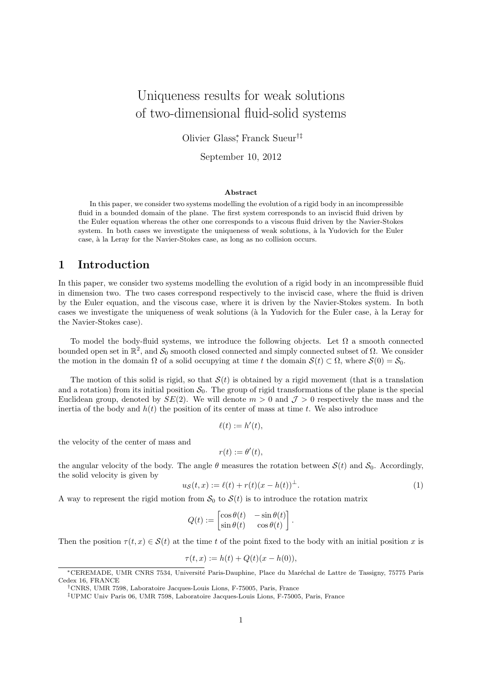# Uniqueness results for weak solutions of two-dimensional fluid-solid systems

Olivier Glass<sup>∗</sup> , Franck Sueur†‡

September 10, 2012

#### Abstract

In this paper, we consider two systems modelling the evolution of a rigid body in an incompressible fluid in a bounded domain of the plane. The first system corresponds to an inviscid fluid driven by the Euler equation whereas the other one corresponds to a viscous fluid driven by the Navier-Stokes system. In both cases we investigate the uniqueness of weak solutions, à la Yudovich for the Euler case, `a la Leray for the Navier-Stokes case, as long as no collision occurs.

## 1 Introduction

In this paper, we consider two systems modelling the evolution of a rigid body in an incompressible fluid in dimension two. The two cases correspond respectively to the inviscid case, where the fluid is driven by the Euler equation, and the viscous case, where it is driven by the Navier-Stokes system. In both cases we investigate the uniqueness of weak solutions (à la Yudovich for the Euler case, à la Leray for the Navier-Stokes case).

To model the body-fluid systems, we introduce the following objects. Let  $\Omega$  a smooth connected bounded open set in  $\mathbb{R}^2$ , and  $\mathcal{S}_0$  smooth closed connected and simply connected subset of  $\Omega$ . We consider the motion in the domain  $\Omega$  of a solid occupying at time t the domain  $\mathcal{S}(t) \subset \Omega$ , where  $\mathcal{S}(0) = \mathcal{S}_0$ .

The motion of this solid is rigid, so that  $S(t)$  is obtained by a rigid movement (that is a translation and a rotation) from its initial position  $S_0$ . The group of rigid transformations of the plane is the special Euclidean group, denoted by  $SE(2)$ . We will denote  $m > 0$  and  $\mathcal{J} > 0$  respectively the mass and the inertia of the body and  $h(t)$  the position of its center of mass at time t. We also introduce

$$
\ell(t) := h'(t),
$$

the velocity of the center of mass and

$$
r(t) := \theta'(t),
$$

the angular velocity of the body. The angle  $\theta$  measures the rotation between  $S(t)$  and  $S_0$ . Accordingly, the solid velocity is given by

$$
u_{\mathcal{S}}(t,x) := \ell(t) + r(t)(x - h(t))^{\perp}.
$$
 (1)

A way to represent the rigid motion from  $S_0$  to  $S(t)$  is to introduce the rotation matrix

$$
Q(t) := \begin{bmatrix} \cos \theta(t) & -\sin \theta(t) \\ \sin \theta(t) & \cos \theta(t) \end{bmatrix}.
$$

Then the position  $\tau(t, x) \in \mathcal{S}(t)$  at the time t of the point fixed to the body with an initial position x is

$$
\tau(t, x) := h(t) + Q(t)(x - h(0)),
$$

<sup>∗</sup>CEREMADE, UMR CNRS 7534, Universit´e Paris-Dauphine, Place du Mar´echal de Lattre de Tassigny, 75775 Paris Cedex 16, FRANCE

<sup>†</sup>CNRS, UMR 7598, Laboratoire Jacques-Louis Lions, F-75005, Paris, France

<sup>‡</sup>UPMC Univ Paris 06, UMR 7598, Laboratoire Jacques-Louis Lions, F-75005, Paris, France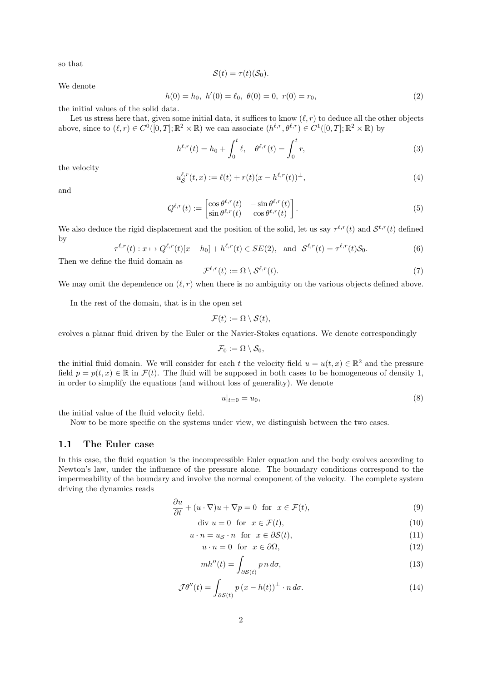so that

$$
\mathcal{S}(t)=\tau(t)(\mathcal{S}_0).
$$

We denote

$$
h(0) = h_0, \ h'(0) = \ell_0, \ \theta(0) = 0, \ r(0) = r_0,
$$
\n<sup>(2)</sup>

the initial values of the solid data.

Let us stress here that, given some initial data, it suffices to know  $(\ell, r)$  to deduce all the other objects above, since to  $(\ell, r) \in C^0([0, T]; \mathbb{R}^2 \times \mathbb{R})$  we can associate  $(h^{\ell,r}, \theta^{\ell,r}) \in C^1([0, T]; \mathbb{R}^2 \times \mathbb{R})$  by

$$
h^{\ell,r}(t) = h_0 + \int_0^t \ell, \quad \theta^{\ell,r}(t) = \int_0^t r,
$$
\n(3)

the velocity

$$
u_{\mathcal{S}}^{\ell,r}(t,x) := \ell(t) + r(t)(x - h^{\ell,r}(t))^{\perp},\tag{4}
$$

and

$$
Q^{\ell,r}(t) := \begin{bmatrix} \cos \theta^{\ell,r}(t) & -\sin \theta^{\ell,r}(t) \\ \sin \theta^{\ell,r}(t) & \cos \theta^{\ell,r}(t) \end{bmatrix} . \tag{5}
$$

We also deduce the rigid displacement and the position of the solid, let us say  $\tau^{\ell,r}(t)$  and  $\mathcal{S}^{\ell,r}(t)$  defined by

$$
\tau^{\ell,r}(t) : x \mapsto Q^{\ell,r}(t)[x - h_0] + h^{\ell,r}(t) \in SE(2), \text{ and } \mathcal{S}^{\ell,r}(t) = \tau^{\ell,r}(t)\mathcal{S}_0.
$$
 (6)

Then we define the fluid domain as

$$
\mathcal{F}^{\ell,r}(t) := \Omega \setminus \mathcal{S}^{\ell,r}(t). \tag{7}
$$

We may omit the dependence on  $(\ell, r)$  when there is no ambiguity on the various objects defined above.

In the rest of the domain, that is in the open set

$$
\mathcal{F}(t) := \Omega \setminus \mathcal{S}(t),
$$

evolves a planar fluid driven by the Euler or the Navier-Stokes equations. We denote correspondingly

$$
\mathcal{F}_0:=\Omega\setminus\mathcal{S}_0,
$$

the initial fluid domain. We will consider for each t the velocity field  $u = u(t, x) \in \mathbb{R}^2$  and the pressure field  $p = p(t, x) \in \mathbb{R}$  in  $\mathcal{F}(t)$ . The fluid will be supposed in both cases to be homogeneous of density 1, in order to simplify the equations (and without loss of generality). We denote

$$
u|_{t=0} = u_0,\t\t(8)
$$

the initial value of the fluid velocity field.

Now to be more specific on the systems under view, we distinguish between the two cases.

## 1.1 The Euler case

In this case, the fluid equation is the incompressible Euler equation and the body evolves according to Newton's law, under the influence of the pressure alone. The boundary conditions correspond to the impermeability of the boundary and involve the normal component of the velocity. The complete system driving the dynamics reads

$$
\frac{\partial u}{\partial t} + (u \cdot \nabla)u + \nabla p = 0 \text{ for } x \in \mathcal{F}(t),
$$
\n(9)

$$
\text{div } u = 0 \quad \text{for } x \in \mathcal{F}(t), \tag{10}
$$

$$
u \cdot n = u_{\mathcal{S}} \cdot n \quad \text{for} \quad x \in \partial \mathcal{S}(t), \tag{11}
$$

$$
u \cdot n = 0 \quad \text{for} \quad x \in \partial \Omega,\tag{12}
$$

$$
mh''(t) = \int_{\partial \mathcal{S}(t)} p \, n \, d\sigma,\tag{13}
$$

$$
\mathcal{J}\theta''(t) = \int_{\partial \mathcal{S}(t)} p(x - h(t))^{\perp} \cdot n \, d\sigma. \tag{14}
$$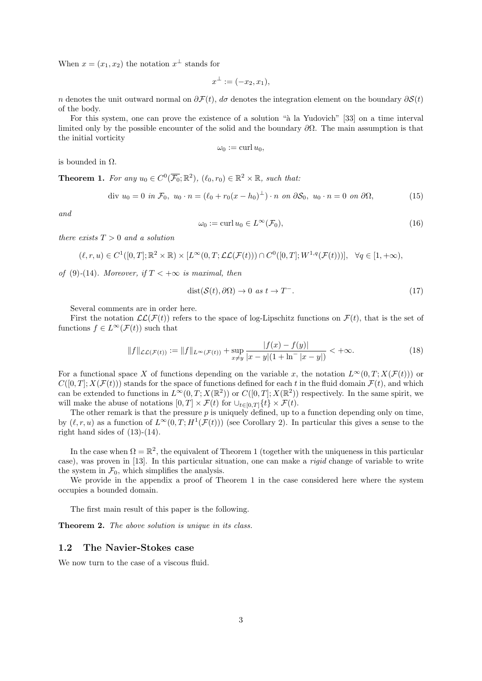When  $x = (x_1, x_2)$  the notation  $x^{\perp}$  stands for

$$
x^{\perp} := (-x_2, x_1),
$$

n denotes the unit outward normal on  $\partial \mathcal{F}(t)$ ,  $d\sigma$  denotes the integration element on the boundary  $\partial \mathcal{S}(t)$ of the body.

For this system, one can prove the existence of a solution "à la Yudovich" [33] on a time interval limited only by the possible encounter of the solid and the boundary  $\partial\Omega$ . The main assumption is that the initial vorticity

$$
\omega_0 := \operatorname{curl} u_0,
$$

is bounded in  $\Omega$ .

**Theorem 1.** For any  $u_0 \in C^0(\overline{\mathcal{F}_0}; \mathbb{R}^2)$ ,  $(\ell_0, r_0) \in \mathbb{R}^2 \times \mathbb{R}$ , such that:

$$
\text{div } u_0 = 0 \text{ in } \mathcal{F}_0, \ u_0 \cdot n = (\ell_0 + r_0(x - h_0)^{\perp}) \cdot n \text{ on } \partial \mathcal{S}_0, \ u_0 \cdot n = 0 \text{ on } \partial \Omega,
$$
\n
$$
(15)
$$

and

$$
\omega_0 := \operatorname{curl} u_0 \in L^\infty(\mathcal{F}_0),\tag{16}
$$

there exists  $T > 0$  and a solution

$$
(\ell, r, u) \in C^1([0, T]; \mathbb{R}^2 \times \mathbb{R}) \times [L^{\infty}(0, T; \mathcal{LL}(\mathcal{F}(t))) \cap C^0([0, T]; W^{1,q}(\mathcal{F}(t)))], \quad \forall q \in [1, +\infty),
$$

of (9)-(14). Moreover, if  $T < +\infty$  is maximal, then

$$
dist(\mathcal{S}(t), \partial \Omega) \to 0 \text{ as } t \to T^-.
$$
\n(17)

Several comments are in order here.

First the notation  $\mathcal{LL}(\mathcal{F}(t))$  refers to the space of log-Lipschitz functions on  $\mathcal{F}(t)$ , that is the set of functions  $f \in L^{\infty}(\mathcal{F}(t))$  such that

$$
||f||_{\mathcal{LL}(\mathcal{F}(t))} := ||f||_{L^{\infty}(\mathcal{F}(t))} + \sup_{x \neq y} \frac{|f(x) - f(y)|}{|x - y|(1 + \ln^{-}|x - y|)} < +\infty.
$$
 (18)

For a functional space X of functions depending on the variable x, the notation  $L^{\infty}(0,T; X(\mathcal{F}(t)))$  or  $C([0,T]; X(\mathcal{F}(t)))$  stands for the space of functions defined for each t in the fluid domain  $\mathcal{F}(t)$ , and which can be extended to functions in  $L^{\infty}(0,T;X(\mathbb{R}^2))$  or  $C([0,T];X(\mathbb{R}^2))$  respectively. In the same spirit, we will make the abuse of notations  $[0, T] \times \mathcal{F}(t)$  for  $\cup_{t \in [0, T]} \{t\} \times \mathcal{F}(t)$ .

The other remark is that the pressure  $p$  is uniquely defined, up to a function depending only on time, by  $(\ell, r, u)$  as a function of  $L^{\infty}(0, T; H^1(\mathcal{F}(t)))$  (see Corollary 2). In particular this gives a sense to the right hand sides of  $(13)-(14)$ .

In the case when  $\Omega = \mathbb{R}^2$ , the equivalent of Theorem 1 (together with the uniqueness in this particular case), was proven in [13]. In this particular situation, one can make a rigid change of variable to write the system in  $\mathcal{F}_0$ , which simplifies the analysis.

We provide in the appendix a proof of Theorem 1 in the case considered here where the system occupies a bounded domain.

The first main result of this paper is the following.

Theorem 2. The above solution is unique in its class.

### 1.2 The Navier-Stokes case

We now turn to the case of a viscous fluid.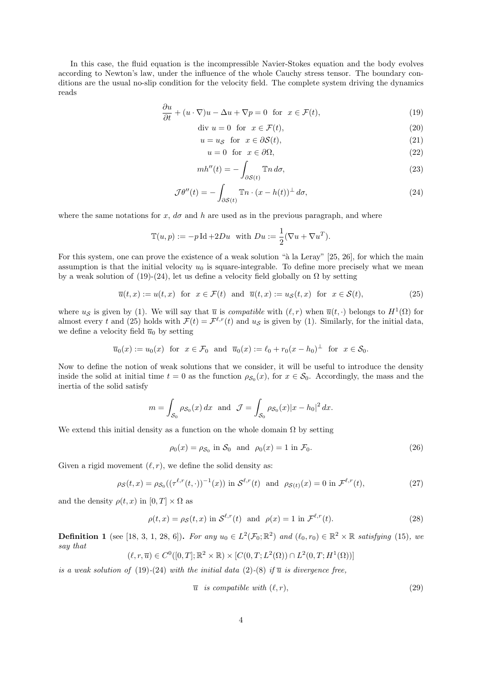In this case, the fluid equation is the incompressible Navier-Stokes equation and the body evolves according to Newton's law, under the influence of the whole Cauchy stress tensor. The boundary conditions are the usual no-slip condition for the velocity field. The complete system driving the dynamics reads

$$
\frac{\partial u}{\partial t} + (u \cdot \nabla)u - \Delta u + \nabla p = 0 \text{ for } x \in \mathcal{F}(t),
$$
\n(19)

$$
\text{div } u = 0 \quad \text{for } x \in \mathcal{F}(t), \tag{20}
$$

$$
u = u_{\mathcal{S}} \quad \text{for} \quad x \in \partial \mathcal{S}(t), \tag{21}
$$

$$
u = 0 \quad \text{for} \quad x \in \partial\Omega,\tag{22}
$$

$$
mh''(t) = -\int_{\partial \mathcal{S}(t)} \mathbb{T} n \, d\sigma,\tag{23}
$$

$$
\mathcal{J}\theta''(t) = -\int_{\partial \mathcal{S}(t)} \mathbb{T}n \cdot (x - h(t))^{\perp} d\sigma,\tag{24}
$$

where the same notations for x,  $d\sigma$  and h are used as in the previous paragraph, and where

$$
\mathbb{T}(u, p) := -p \operatorname{Id} + 2Du \text{ with } Du := \frac{1}{2}(\nabla u + \nabla u^T).
$$

For this system, one can prove the existence of a weak solution " $\hat{a}$  la Leray" [25, 26], for which the main assumption is that the initial velocity  $u_0$  is square-integrable. To define more precisely what we mean by a weak solution of (19)-(24), let us define a velocity field globally on  $\Omega$  by setting

$$
\overline{u}(t,x) := u(t,x) \text{ for } x \in \mathcal{F}(t) \text{ and } \overline{u}(t,x) := u_{\mathcal{S}}(t,x) \text{ for } x \in \mathcal{S}(t),
$$
\n(25)

where  $u_{\mathcal{S}}$  is given by (1). We will say that  $\overline{u}$  is *compatible* with  $(\ell, r)$  when  $\overline{u}(t, \cdot)$  belongs to  $H^1(\Omega)$  for almost every t and (25) holds with  $\mathcal{F}(t) = \mathcal{F}^{\ell,r}(t)$  and  $u_{\mathcal{S}}$  is given by (1). Similarly, for the initial data, we define a velocity field  $\overline{u}_0$  by setting

$$
\overline{u}_0(x) := u_0(x)
$$
 for  $x \in \mathcal{F}_0$  and  $\overline{u}_0(x) := \ell_0 + r_0(x - h_0)^{\perp}$  for  $x \in \mathcal{S}_0$ .

Now to define the notion of weak solutions that we consider, it will be useful to introduce the density inside the solid at initial time  $t = 0$  as the function  $\rho_{S_0}(x)$ , for  $x \in S_0$ . Accordingly, the mass and the inertia of the solid satisfy

$$
m = \int_{S_0} \rho_{S_0}(x) dx
$$
 and  $\mathcal{J} = \int_{S_0} \rho_{S_0}(x)|x - h_0|^2 dx$ .

We extend this initial density as a function on the whole domain  $\Omega$  by setting

$$
\rho_0(x) = \rho_{\mathcal{S}_0} \text{ in } \mathcal{S}_0 \text{ and } \rho_0(x) = 1 \text{ in } \mathcal{F}_0. \tag{26}
$$

Given a rigid movement  $(\ell, r)$ , we define the solid density as:

$$
\rho_{\mathcal{S}}(t,x) = \rho_{\mathcal{S}_0}((\tau^{\ell,r}(t,\cdot))^{-1}(x)) \text{ in } \mathcal{S}^{\ell,r}(t) \text{ and } \rho_{\mathcal{S}(t)}(x) = 0 \text{ in } \mathcal{F}^{\ell,r}(t), \tag{27}
$$

and the density  $\rho(t, x)$  in  $[0, T] \times \Omega$  as

$$
\rho(t,x) = \rho_{\mathcal{S}}(t,x) \text{ in } \mathcal{S}^{\ell,r}(t) \text{ and } \rho(x) = 1 \text{ in } \mathcal{F}^{\ell,r}(t). \tag{28}
$$

**Definition 1** (see [18, 3, 1, 28, 6]). For any  $u_0 \in L^2(\mathcal{F}_0;\mathbb{R}^2)$  and  $(\ell_0, r_0) \in \mathbb{R}^2 \times \mathbb{R}$  satisfying (15), we say that

$$
(\ell, r, \overline{u}) \in C^0([0, T]; \mathbb{R}^2 \times \mathbb{R}) \times [C(0, T; L^2(\Omega)) \cap L^2(0, T; H^1(\Omega))]
$$

is a weak solution of (19)-(24) with the initial data (2)-(8) if  $\overline{u}$  is divergence free,

$$
\overline{u} \quad is \quad compatible \quad with \quad (\ell, r), \tag{29}
$$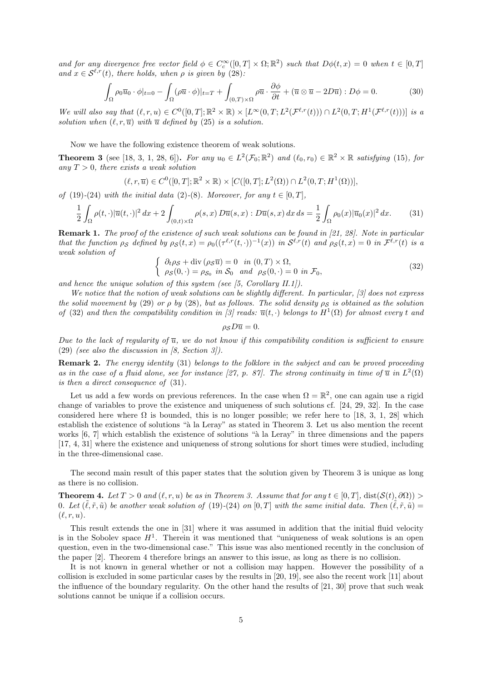and for any divergence free vector field  $\phi \in C_c^{\infty}([0,T] \times \Omega;\mathbb{R}^2)$  such that  $D\phi(t,x) = 0$  when  $t \in [0,T]$ and  $x \in \mathcal{S}^{\ell,r}(t)$ , there holds, when  $\rho$  is given by (28):

$$
\int_{\Omega} \rho_0 \overline{u}_0 \cdot \phi|_{t=0} - \int_{\Omega} (\rho \overline{u} \cdot \phi)|_{t=T} + \int_{(0,T)\times\Omega} \rho \overline{u} \cdot \frac{\partial \phi}{\partial t} + (\overline{u} \otimes \overline{u} - 2D\overline{u}) : D\phi = 0.
$$
 (30)

We will also say that  $(\ell, r, u) \in C^0([0, T]; \mathbb{R}^2 \times \mathbb{R}) \times [L^{\infty}(0, T; L^2(\mathcal{F}^{\ell,r}(t))) \cap L^2(0, T; H^1(\mathcal{F}^{\ell,r}(t)))]$  is a solution when  $(\ell, r, \overline{u})$  with  $\overline{u}$  defined by (25) is a solution.

Now we have the following existence theorem of weak solutions.

**Theorem 3** (see [18, 3, 1, 28, 6]). For any  $u_0 \in L^2(\mathcal{F}_0; \mathbb{R}^2)$  and  $(\ell_0, r_0) \in \mathbb{R}^2 \times \mathbb{R}$  satisfying (15), for any  $T > 0$ , there exists a weak solution

 $(\ell, r, \overline{u}) \in C^{0}([0, T]; \mathbb{R}^{2} \times \mathbb{R}) \times [C([0, T]; L^{2}(\Omega)) \cap L^{2}(0, T; H^{1}(\Omega))],$ 

of (19)-(24) with the initial data (2)-(8). Moreover, for any  $t \in [0, T]$ ,

$$
\frac{1}{2} \int_{\Omega} \rho(t, \cdot) |\overline{u}(t, \cdot)|^2 dx + 2 \int_{(0, t) \times \Omega} \rho(s, x) D\overline{u}(s, x) : D\overline{u}(s, x) dx ds = \frac{1}{2} \int_{\Omega} \rho_0(x) |\overline{u}_0(x)|^2 dx. \tag{31}
$$

Remark 1. The proof of the existence of such weak solutions can be found in [21, 28]. Note in particular that the function  $\rho_{\mathcal{S}}$  defined by  $\rho_{\mathcal{S}}(t,x) = \rho_0((\tau^{\ell,r}(t,\cdot))^{-1}(x))$  in  $\mathcal{S}^{\ell,r}(t)$  and  $\rho_{\mathcal{S}}(t,x) = 0$  in  $\mathcal{F}^{\ell,r}(t)$  is a weak solution of

$$
\begin{cases}\n\partial_t \rho_S + \text{div}(\rho_S \overline{u}) = 0 & \text{in } (0, T) \times \Omega, \\
\rho_S(0, \cdot) = \rho_{S_0} & \text{in } S_0 \text{ and } \rho_S(0, \cdot) = 0 & \text{in } \mathcal{F}_0,\n\end{cases}
$$
\n(32)

and hence the unique solution of this system (see  $(5, Corollary II.1)$ ).

We notice that the notion of weak solutions can be slightly different. In particular, [3] does not express the solid movement by (29) or  $\rho$  by (28), but as follows. The solid density  $\rho_S$  is obtained as the solution of (32) and then the compatibility condition in [3] reads:  $\overline{u}(t, \cdot)$  belongs to  $H^1(\Omega)$  for almost every t and

$$
\rho_{\mathcal{S}}D\overline{u}=0.
$$

Due to the lack of regularity of  $\bar{u}$ , we do not know if this compatibility condition is sufficient to ensure (29) (see also the discussion in [8, Section 3]).

**Remark 2.** The energy identity (31) belongs to the folklore in the subject and can be proved proceeding as in the case of a fluid alone, see for instance [27, p. 87]. The strong continuity in time of  $\overline{u}$  in  $L^2(\Omega)$ is then a direct consequence of (31).

Let us add a few words on previous references. In the case when  $\Omega = \mathbb{R}^2$ , one can again use a rigid change of variables to prove the existence and uniqueness of such solutions cf. [24, 29, 32]. In the case considered here where  $\Omega$  is bounded, this is no longer possible; we refer here to [18, 3, 1, 28] which establish the existence of solutions "à la Leray" as stated in Theorem 3. Let us also mention the recent works  $[6, 7]$  which establish the existence of solutions "à la Leray" in three dimensions and the papers [17, 4, 31] where the existence and uniqueness of strong solutions for short times were studied, including in the three-dimensional case.

The second main result of this paper states that the solution given by Theorem 3 is unique as long as there is no collision.

**Theorem 4.** Let  $T > 0$  and  $(\ell, r, u)$  be as in Theorem 3. Assume that for any  $t \in [0, T]$ , dist $(S(t), \partial \Omega)$ ) 0. Let  $(\tilde{\ell}, \tilde{r}, \tilde{u})$  be another weak solution of (19)-(24) on [0, T] with the same initial data. Then  $(\tilde{\ell}, \tilde{r}, \tilde{u}) =$  $(\ell, r, u).$ 

This result extends the one in [31] where it was assumed in addition that the initial fluid velocity is in the Sobolev space  $H<sup>1</sup>$ . Therein it was mentioned that "uniqueness of weak solutions is an open question, even in the two-dimensional case." This issue was also mentioned recently in the conclusion of the paper [2]. Theorem 4 therefore brings an answer to this issue, as long as there is no collision.

It is not known in general whether or not a collision may happen. However the possibility of a collision is excluded in some particular cases by the results in [20, 19], see also the recent work [11] about the influence of the boundary regularity. On the other hand the results of [21, 30] prove that such weak solutions cannot be unique if a collision occurs.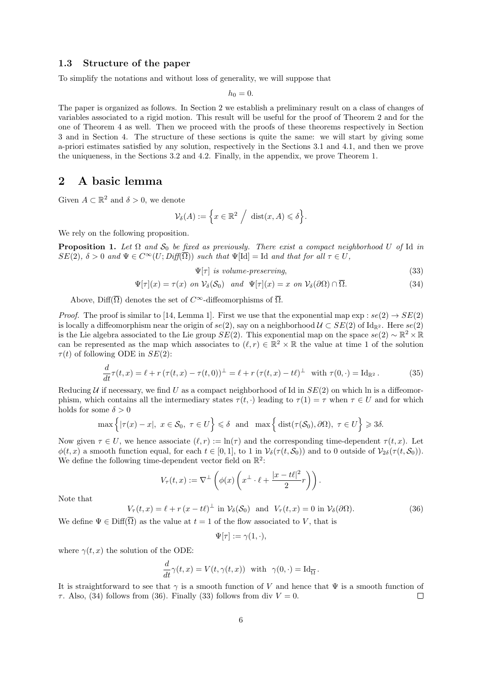## 1.3 Structure of the paper

To simplify the notations and without loss of generality, we will suppose that

 $h_0 = 0.$ 

The paper is organized as follows. In Section 2 we establish a preliminary result on a class of changes of variables associated to a rigid motion. This result will be useful for the proof of Theorem 2 and for the one of Theorem 4 as well. Then we proceed with the proofs of these theorems respectively in Section 3 and in Section 4. The structure of these sections is quite the same: we will start by giving some a-priori estimates satisfied by any solution, respectively in the Sections 3.1 and 4.1, and then we prove the uniqueness, in the Sections 3.2 and 4.2. Finally, in the appendix, we prove Theorem 1.

## 2 A basic lemma

Given  $A \subset \mathbb{R}^2$  and  $\delta > 0$ , we denote

$$
\mathcal{V}_{\delta}(A) := \left\{ x \in \mathbb{R}^2 \; \Big/ \; \operatorname{dist}(x, A) \leqslant \delta \right\}.
$$

We rely on the following proposition.

**Proposition 1.** Let  $\Omega$  and  $S_0$  be fixed as previously. There exist a compact neighborhood U of Id in  $SE(2), \delta > 0$  and  $\Psi \in C^{\infty}(U; Diff(\overline{\Omega}))$  such that  $\Psi[\text{Id}] = \text{Id}$  and that for all  $\tau \in U$ ,

$$
\Psi[\tau] \ \text{is volume-preserving},\tag{33}
$$

$$
\Psi[\tau](x) = \tau(x) \text{ on } \mathcal{V}_{\delta}(\mathcal{S}_0) \text{ and } \Psi[\tau](x) = x \text{ on } \mathcal{V}_{\delta}(\partial\Omega) \cap \Omega. \tag{34}
$$

Above, Diff( $\overline{\Omega}$ ) denotes the set of  $C^{\infty}$ -diffeomorphisms of  $\overline{\Omega}$ .

*Proof.* The proof is similar to [14, Lemma 1]. First we use that the exponential map  $\exp : se(2) \rightarrow SE(2)$ is locally a diffeomorphism near the origin of  $se(2)$ , say on a neighborhood  $\mathcal{U} \subset SE(2)$  of Id<sub>R</sub>2. Here  $se(2)$ is the Lie algebra associated to the Lie group  $SE(2)$ . This exponential map on the space  $se(2) \sim \mathbb{R}^2 \times \mathbb{R}$ can be represented as the map which associates to  $(\ell, r) \in \mathbb{R}^2 \times \mathbb{R}$  the value at time 1 of the solution  $\tau(t)$  of following ODE in  $SE(2)$ :

$$
\frac{d}{dt}\tau(t,x) = \ell + r\left(\tau(t,x) - \tau(t,0)\right)^\perp = \ell + r\left(\tau(t,x) - t\ell\right)^\perp \text{ with } \tau(0,\cdot) = \text{Id}_{\mathbb{R}^2}. \tag{35}
$$

Reducing U if necessary, we find U as a compact neighborhood of Id in  $SE(2)$  on which ln is a diffeomorphism, which contains all the intermediary states  $\tau(t, \cdot)$  leading to  $\tau(1) = \tau$  when  $\tau \in U$  and for which holds for some  $\delta > 0$ 

$$
\max\left\{|\tau(x)-x|, x \in \mathcal{S}_0, \ \tau \in U\right\} \leq \delta \ \text{ and } \ \max\left\{\text{dist}(\tau(\mathcal{S}_0),\partial\Omega), \ \tau \in U\right\} \geq 3\delta.
$$

Now given  $\tau \in U$ , we hence associate  $(\ell, r) := \ln(\tau)$  and the corresponding time-dependent  $\tau(t, x)$ . Let  $\phi(t, x)$  a smooth function equal, for each  $t \in [0, 1]$ , to 1 in  $\mathcal{V}_{\delta}(\tau(t, \mathcal{S}_0))$  and to 0 outside of  $\mathcal{V}_{2\delta}(\tau(t, \mathcal{S}_0))$ . We define the following time-dependent vector field on  $\mathbb{R}^2$ :

$$
V_{\tau}(t,x) := \nabla^{\perp} \left( \phi(x) \left( x^{\perp} \cdot \ell + \frac{|x - t\ell|^2}{2} r \right) \right).
$$

Note that

$$
V_{\tau}(t,x) = \ell + r(x - t\ell)^{\perp} \text{ in } \mathcal{V}_{\delta}(\mathcal{S}_0) \text{ and } V_{\tau}(t,x) = 0 \text{ in } \mathcal{V}_{\delta}(\partial \Omega). \tag{36}
$$

We define  $\Psi \in \text{Diff}(\overline{\Omega})$  as the value at  $t = 1$  of the flow associated to V, that is

$$
\Psi[\tau] := \gamma(1, \cdot),
$$

where  $\gamma(t, x)$  the solution of the ODE:

$$
\frac{d}{dt}\gamma(t,x) = V(t,\gamma(t,x)) \text{ with } \gamma(0,\cdot) = \mathrm{Id}_{\overline{\Omega}}.
$$

It is straightforward to see that  $\gamma$  is a smooth function of V and hence that  $\Psi$  is a smooth function of  $\tau$ . Also, (34) follows from (36). Finally (33) follows from div  $V = 0$ .  $\Box$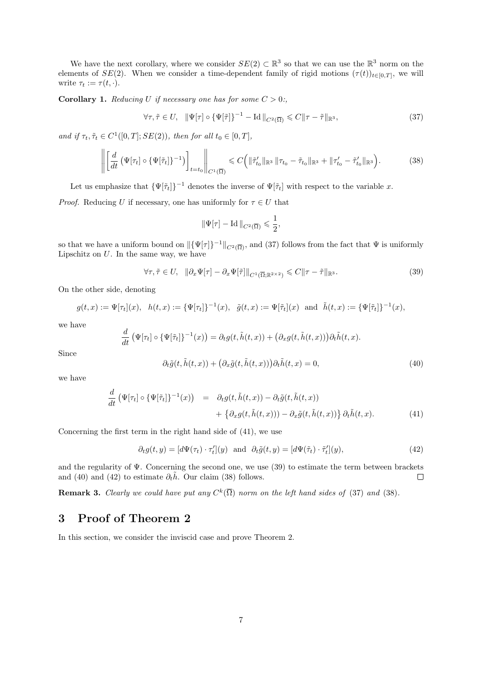We have the next corollary, where we consider  $SE(2) \subset \mathbb{R}^3$  so that we can use the  $\mathbb{R}^3$  norm on the elements of  $SE(2)$ . When we consider a time-dependent family of rigid motions  $(\tau(t))_{t\in[0,T]}$ , we will write  $\tau_t := \tau(t, \cdot)$ .

**Corollary 1.** Reducing U if necessary one has for some  $C > 0$ :

$$
\forall \tau, \tilde{\tau} \in U, \quad \|\Psi[\tau] \circ \{\Psi[\tilde{\tau}]\}^{-1} - \text{Id}\|_{C^2(\overline{\Omega})} \leqslant C \|\tau - \tilde{\tau}\|_{\mathbb{R}^3},\tag{37}
$$

and if  $\tau_t, \tilde{\tau}_t \in C^1([0,T]; SE(2))$ , then for all  $t_0 \in [0,T]$ ,

$$
\left\| \left[ \frac{d}{dt} \left( \Psi[\tau_t] \circ \{ \Psi[\tilde{\tau}_t] \}^{-1} \right) \right]_{t=t_0} \right\|_{C^1(\overline{\Omega})} \leqslant C \left( \|\tilde{\tau}'_{t_0}\|_{\mathbb{R}^3} \|\tau_{t_0} - \tilde{\tau}_{t_0}\|_{\mathbb{R}^3} + \|\tau'_{t_0} - \tilde{\tau}'_{t_0}\|_{\mathbb{R}^3} \right). \tag{38}
$$

Let us emphasize that  $\{\Psi[\tilde{\tau}_t]\}^{-1}$  denotes the inverse of  $\Psi[\tilde{\tau}_t]$  with respect to the variable x.

*Proof.* Reducing U if necessary, one has uniformly for  $\tau \in U$  that

$$
\|\Psi[\tau]-\mathrm{Id}\,\|_{C^2(\overline{\Omega})}\leqslant \frac{1}{2},
$$

so that we have a uniform bound on  $\|\{\Psi[\tau]\}^{-1}\|_{C^2(\overline{\Omega})}$ , and (37) follows from the fact that  $\Psi$  is uniformly Lipschitz on  $U$ . In the same way, we have

$$
\forall \tau, \tilde{\tau} \in U, \quad \|\partial_x \Psi[\tau] - \partial_x \Psi[\tilde{\tau}]\|_{C^1(\overline{\Omega}; \mathbb{R}^{2 \times 2})} \leq C \|\tau - \tilde{\tau}\|_{\mathbb{R}^3}.
$$
\n(39)

On the other side, denoting

$$
g(t,x) := \Psi[\tau_t](x), \quad h(t,x) := {\{\Psi[\tau_t]\}}^{-1}(x), \quad \tilde{g}(t,x) := \Psi[\tilde{\tau}_t](x) \text{ and } \tilde{h}(t,x) := {\{\Psi[\tilde{\tau}_t]\}}^{-1}(x),
$$

we have

$$
\frac{d}{dt} \left( \Psi[\tau_t] \circ \{\Psi[\tilde{\tau}_t]\}^{-1}(x) \right) = \partial_t g(t, \tilde{h}(t, x)) + \left( \partial_x g(t, \tilde{h}(t, x)) \right) \partial_t \tilde{h}(t, x).
$$

$$
\partial_t \tilde{g}(t, \tilde{h}(t, x)) + \left( \partial_x \tilde{g}(t, \tilde{h}(t, x)) \right) \partial_t \tilde{h}(t, x) = 0,
$$
(40)

we have

Since

$$
\frac{d}{dt} \left( \Psi[\tau_t] \circ \{ \Psi[\tilde{\tau}_t] \}^{-1}(x) \right) = \partial_t g(t, \tilde{h}(t, x)) - \partial_t \tilde{g}(t, \tilde{h}(t, x)) \n+ \left\{ \partial_x g(t, \tilde{h}(t, x)) \right\} - \partial_x \tilde{g}(t, \tilde{h}(t, x)) \right\} \partial_t \tilde{h}(t, x).
$$
\n(41)

Concerning the first term in the right hand side of (41), we use

$$
\partial_t g(t, y) = [d\Psi(\tau_t) \cdot \tau'_t](y) \text{ and } \partial_t \tilde{g}(t, y) = [d\Psi(\tilde{\tau}_t) \cdot \tilde{\tau}'_t](y), \tag{42}
$$

and the regularity of  $\Psi$ . Concerning the second one, we use (39) to estimate the term between brackets and (40) and (42) to estimate  $\partial_t \tilde{h}$ . Our claim (38) follows.  $\Box$ 

**Remark 3.** Clearly we could have put any  $C^k(\overline{\Omega})$  norm on the left hand sides of (37) and (38).

## 3 Proof of Theorem 2

In this section, we consider the inviscid case and prove Theorem 2.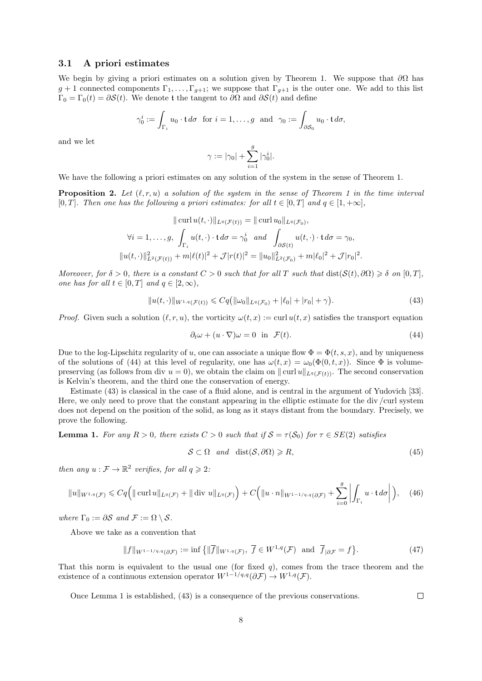### 3.1 A priori estimates

We begin by giving a priori estimates on a solution given by Theorem 1. We suppose that  $\partial\Omega$  has  $g+1$  connected components  $\Gamma_1, \ldots, \Gamma_{g+1}$ ; we suppose that  $\Gamma_{g+1}$  is the outer one. We add to this list  $\Gamma_0 = \Gamma_0(t) = \partial S(t)$ . We denote t the tangent to  $\partial \Omega$  and  $\partial S(t)$  and define

$$
\gamma_0^i := \int_{\Gamma_i} u_0 \cdot \mathfrak{t} \, d\sigma \quad \text{for } i = 1, \dots, g \text{ and } \gamma_0 := \int_{\partial S_0} u_0 \cdot \mathfrak{t} \, d\sigma,
$$

and we let

$$
\gamma := |\gamma_0| + \sum_{i=1}^g |\gamma_0^i|.
$$

We have the following a priori estimates on any solution of the system in the sense of Theorem 1.

**Proposition 2.** Let  $(\ell, r, u)$  a solution of the system in the sense of Theorem 1 in the time interval [0, T]. Then one has the following a priori estimates: for all  $t \in [0, T]$  and  $q \in [1, +\infty]$ ,

$$
\|\operatorname{curl} u(t, \cdot)\|_{L^q(\mathcal{F}(t))} = \|\operatorname{curl} u_0\|_{L^q(\mathcal{F}_0)},
$$
  

$$
\forall i = 1, ..., g, \int_{\Gamma_i} u(t, \cdot) \cdot t \, d\sigma = \gamma_0^i \quad \text{and} \quad \int_{\partial S(t)} u(t, \cdot) \cdot t \, d\sigma = \gamma_0,
$$
  

$$
\|u(t, \cdot)\|_{L^2(\mathcal{F}(t))}^2 + m|\ell(t)|^2 + \mathcal{J}|r(t)|^2 = \|u_0\|_{L^2(\mathcal{F}_0)}^2 + m|\ell_0|^2 + \mathcal{J}|r_0|^2.
$$

Moreover, for  $\delta > 0$ , there is a constant  $C > 0$  such that for all T such that  $dist(S(t), \partial \Omega) \geq \delta$  on  $[0, T]$ , one has for all  $t \in [0, T]$  and  $q \in [2, \infty)$ ,

$$
||u(t,\cdot)||_{W^{1,q}(\mathcal{F}(t))} \leqslant Cq(||\omega_0||_{L^q(\mathcal{F}_0)} + |\ell_0| + |r_0| + \gamma).
$$
\n(43)

*Proof.* Given such a solution  $(\ell, r, u)$ , the vorticity  $\omega(t, x) := \text{curl } u(t, x)$  satisfies the transport equation

$$
\partial_t \omega + (u \cdot \nabla)\omega = 0 \quad \text{in} \quad \mathcal{F}(t). \tag{44}
$$

Due to the log-Lipschitz regularity of u, one can associate a unique flow  $\Phi = \Phi(t, s, x)$ , and by uniqueness of the solutions of (44) at this level of regularity, one has  $\omega(t, x) = \omega_0(\Phi(0, t, x))$ . Since  $\Phi$  is volumepreserving (as follows from div  $u = 0$ ), we obtain the claim on  $\| \operatorname{curl} u \|_{L^q(\mathcal{F}(t))}$ . The second conservation is Kelvin's theorem, and the third one the conservation of energy.

Estimate (43) is classical in the case of a fluid alone, and is central in the argument of Yudovich [33]. Here, we only need to prove that the constant appearing in the elliptic estimate for the div /curl system does not depend on the position of the solid, as long as it stays distant from the boundary. Precisely, we prove the following.

**Lemma 1.** For any  $R > 0$ , there exists  $C > 0$  such that if  $S = \tau(S_0)$  for  $\tau \in SE(2)$  satisfies

$$
S \subset \Omega \quad and \quad \text{dist}(\mathcal{S}, \partial \Omega) \ge R,\tag{45}
$$

then any  $u : \mathcal{F} \to \mathbb{R}^2$  verifies, for all  $q \geqslant 2$ .

$$
||u||_{W^{1,q}(\mathcal{F})} \leqslant Cq \Big( \|\operatorname{curl} u\|_{L^q(\mathcal{F})} + \|\operatorname{div} u\|_{L^q(\mathcal{F})} \Big) + C \Big( \|u \cdot n\|_{W^{1-1/q,q}(\partial \mathcal{F})} + \sum_{i=0}^g \left| \int_{\Gamma_i} u \cdot \mathfrak{t} \, d\sigma \right| \Big), \quad (46)
$$

where  $\Gamma_0 := \partial S$  and  $\mathcal{F} := \Omega \setminus S$ .

Above we take as a convention that

$$
||f||_{W^{1-1/q,q}(\partial \mathcal{F})} := \inf \{ ||\overline{f}||_{W^{1,q}(\mathcal{F})}, \ \overline{f} \in W^{1,q}(\mathcal{F}) \ \text{and} \ \overline{f}_{|\partial \mathcal{F}} = f \}. \tag{47}
$$

That this norm is equivalent to the usual one (for fixed q), comes from the trace theorem and the existence of a continuous extension operator  $W^{1-1/q,q}(\partial \mathcal{F}) \stackrel{\sim}{\rightarrow} W^{1,q}(\mathcal{F})$ .

Once Lemma 1 is established, (43) is a consequence of the previous conservations.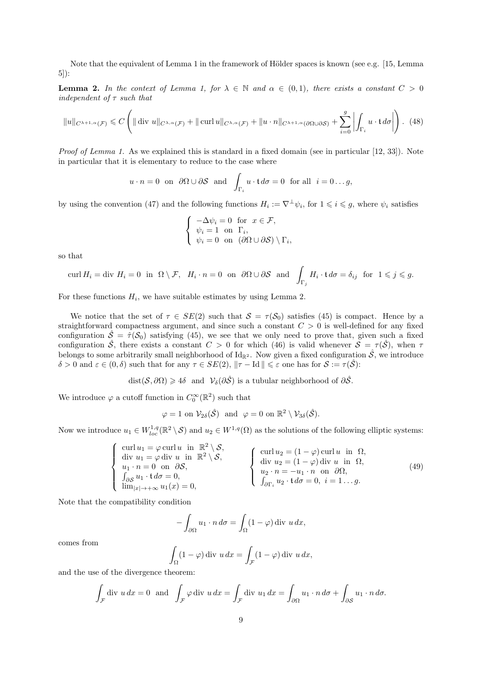Note that the equivalent of Lemma 1 in the framework of Hölder spaces is known (see e.g. [15, Lemma 5]):

**Lemma 2.** In the context of Lemma 1, for  $\lambda \in \mathbb{N}$  and  $\alpha \in (0,1)$ , there exists a constant  $C > 0$ independent of  $\tau$  such that

$$
||u||_{C^{\lambda+1,\alpha}(\mathcal{F})} \leq C \left( ||\operatorname{div} u||_{C^{\lambda,\alpha}(\mathcal{F})} + ||\operatorname{curl} u||_{C^{\lambda,\alpha}(\mathcal{F})} + ||u \cdot n||_{C^{\lambda+1,\alpha}(\partial \Omega \cup \partial \mathcal{S})} + \sum_{i=0}^{g} \left| \int_{\Gamma_i} u \cdot \mathfrak{t} \, d\sigma \right| \right). \tag{48}
$$

Proof of Lemma 1. As we explained this is standard in a fixed domain (see in particular [12, 33]). Note in particular that it is elementary to reduce to the case where

$$
u \cdot n = 0
$$
 on  $\partial \Omega \cup \partial S$  and  $\int_{\Gamma_i} u \cdot t d\sigma = 0$  for all  $i = 0...g$ ,

by using the convention (47) and the following functions  $H_i := \nabla^{\perp} \psi_i$ , for  $1 \leq i \leq g$ , where  $\psi_i$  satisfies

$$
\begin{cases}\n-\Delta \psi_i = 0 \text{ for } x \in \mathcal{F}, \\
\psi_i = 1 \text{ on } \Gamma_i, \\
\psi_i = 0 \text{ on } (\partial \Omega \cup \partial \mathcal{S}) \setminus \Gamma_i\n\end{cases}
$$

,

so that

$$
\operatorname{curl} H_i = \operatorname{div} H_i = 0 \quad \text{in} \quad \Omega \setminus \mathcal{F}, \quad H_i \cdot n = 0 \quad \text{on} \quad \partial \Omega \cup \partial \mathcal{S} \quad \text{and} \quad \int_{\Gamma_j} H_i \cdot \mathfrak{t} \, d\sigma = \delta_{ij} \quad \text{for} \quad 1 \leqslant j \leqslant g.
$$

For these functions  $H_i$ , we have suitable estimates by using Lemma 2.

We notice that the set of  $\tau \in SE(2)$  such that  $S = \tau(S_0)$  satisfies (45) is compact. Hence by a straightforward compactness argument, and since such a constant  $C > 0$  is well-defined for any fixed configuration  $\hat{S} = \hat{\tau}(\mathcal{S}_0)$  satisfying (45), we see that we only need to prove that, given such a fixed configuration  $\hat{S}$ , there exists a constant  $C > 0$  for which (46) is valid whenever  $\hat{S} = \tau(\hat{S})$ , when  $\tau$ belongs to some arbitrarily small neighborhood of  $\mathrm{Id}_{\mathbb{R}^2}$ . Now given a fixed configuration  $\hat{\mathcal{S}}$ , we introduce  $\delta > 0$  and  $\varepsilon \in (0, \delta)$  such that for any  $\tau \in SE(2)$ ,  $\Vert \tau - \text{Id} \Vert \leqslant \varepsilon$  one has for  $S := \tau(\hat{S})$ :

dist(S,  $\partial\Omega$ ) ≥ 4 $\delta$  and  $\mathcal{V}_{\delta}(\partial \hat{S})$  is a tubular neighborhood of  $\partial \hat{S}$ .

We introduce  $\varphi$  a cutoff function in  $C_0^{\infty}(\mathbb{R}^2)$  such that

$$
\varphi = 1
$$
 on  $\mathcal{V}_{2\delta}(\hat{\mathcal{S}})$  and  $\varphi = 0$  on  $\mathbb{R}^2 \setminus \mathcal{V}_{3\delta}(\hat{\mathcal{S}})$ .

Now we introduce  $u_1 \in W_{loc}^{1,q}(\mathbb{R}^2 \setminus \mathcal{S})$  and  $u_2 \in W^{1,q}(\Omega)$  as the solutions of the following elliptic systems:

$$
\begin{cases}\n\text{curl } u_1 = \varphi \text{ curl } u \text{ in } \mathbb{R}^2 \setminus \mathcal{S}, \\
\text{div } u_1 = \varphi \text{ div } u \text{ in } \mathbb{R}^2 \setminus \mathcal{S}, \\
u_1 \cdot n = 0 \text{ on } \partial \mathcal{S}, \\
\int_{\partial \mathcal{S}} u_1 \cdot \mathbf{t} d\sigma = 0, \\
\lim_{|x| \to +\infty} u_1(x) = 0,\n\end{cases}\n\qquad\n\begin{cases}\n\text{curl } u_2 = (1 - \varphi) \text{ curl } u \text{ in } \Omega, \\
\text{div } u_2 = (1 - \varphi) \text{ div } u \text{ in } \Omega, \\
u_2 \cdot n = -u_1 \cdot n \text{ on } \partial \Omega, \\
\int_{\partial \Gamma_i} u_2 \cdot \mathbf{t} d\sigma = 0, \quad i = 1 \dots g.\n\end{cases}\n\qquad (49)
$$

Note that the compatibility condition

$$
-\int_{\partial\Omega} u_1 \cdot n \, d\sigma = \int_{\Omega} (1 - \varphi) \, \text{div } u \, dx,
$$

comes from

$$
\int_{\Omega} (1 - \varphi) \, \text{div } u \, dx = \int_{\mathcal{F}} (1 - \varphi) \, \text{div } u \, dx,
$$

and the use of the divergence theorem:

$$
\int_{\mathcal{F}} \text{div } u \, dx = 0 \text{ and } \int_{\mathcal{F}} \varphi \, \text{div } u \, dx = \int_{\mathcal{F}} \text{div } u_1 \, dx = \int_{\partial \Omega} u_1 \cdot n \, d\sigma + \int_{\partial \mathcal{S}} u_1 \cdot n \, d\sigma.
$$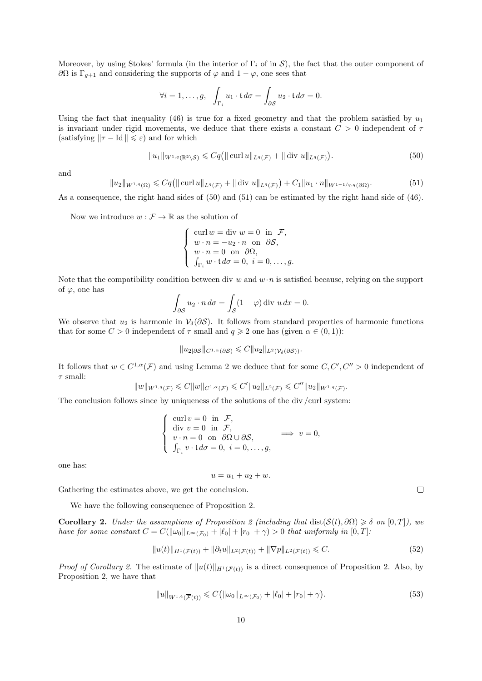Moreover, by using Stokes' formula (in the interior of  $\Gamma_i$  of in S), the fact that the outer component of  $∂Ω$  is Γ<sub>g+1</sub> and considering the supports of  $\varphi$  and 1 −  $\varphi$ , one sees that

$$
\forall i=1,\ldots,g,\ \int_{\Gamma_i} u_1 \cdot \mathfrak{t} \, d\sigma = \int_{\partial S} u_2 \cdot \mathfrak{t} \, d\sigma = 0.
$$

Using the fact that inequality (46) is true for a fixed geometry and that the problem satisfied by  $u_1$ is invariant under rigid movements, we deduce that there exists a constant  $C > 0$  independent of  $\tau$ (satisfying  $\|\tau - \text{Id}\| \leq \varepsilon$ ) and for which

$$
||u_1||_{W^{1,q}(\mathbb{R}^2 \setminus \mathcal{S})} \leqslant Cq(||\operatorname{curl} u||_{L^q(\mathcal{F})} + ||\operatorname{div} u||_{L^q(\mathcal{F})}). \tag{50}
$$

and

$$
||u_2||_{W^{1,q}(\Omega)} \leq Cq(||\operatorname{curl} u||_{L^q(\mathcal{F})} + ||\operatorname{div} u||_{L^q(\mathcal{F})}) + C_1 ||u_1 \cdot n||_{W^{1-1/q,q}(\partial \Omega)}.
$$
\n(51)

As a consequence, the right hand sides of (50) and (51) can be estimated by the right hand side of (46).

Now we introduce  $w : \mathcal{F} \to \mathbb{R}$  as the solution of

$$
\begin{cases}\n\operatorname{curl} w = \operatorname{div} w = 0 & \text{in } \mathcal{F}, \\
w \cdot n = -u_2 \cdot n & \text{on } \partial \mathcal{S}, \\
w \cdot n = 0 & \text{on } \partial \Omega, \\
\int_{\Gamma_i} w \cdot \mathbf{t} d\sigma = 0, \ i = 0, \dots, g.\n\end{cases}
$$

Note that the compatibility condition between div w and  $w \cdot n$  is satisfied because, relying on the support of  $\varphi$ , one has

$$
\int_{\partial S} u_2 \cdot n \, d\sigma = \int_S (1 - \varphi) \, \text{div } u \, dx = 0.
$$

We observe that  $u_2$  is harmonic in  $\mathcal{V}_\delta(\partial \mathcal{S})$ . It follows from standard properties of harmonic functions that for some  $C > 0$  independent of  $\tau$  small and  $q \geq 2$  one has (given  $\alpha \in (0,1)$ ):

$$
||u_{2|\partial S}||_{C^{1,\alpha}(\partial S)} \leqslant C||u_2||_{L^2(\mathcal{V}_\delta(\partial S))}.
$$

It follows that  $w \in C^{1,\alpha}(\mathcal{F})$  and using Lemma 2 we deduce that for some  $C, C', C'' > 0$  independent of  $\tau$  small:

$$
||w||_{W^{1,q}(\mathcal{F})} \leq C||w||_{C^{1,\alpha}(\mathcal{F})} \leq C'||u_2||_{L^2(\mathcal{F})} \leq C''||u_2||_{W^{1,q}(\mathcal{F})}.
$$

The conclusion follows since by uniqueness of the solutions of the div /curl system:

$$
\begin{cases}\n\text{curl } v = 0 \text{ in } \mathcal{F}, \\
\text{div } v = 0 \text{ in } \mathcal{F}, \\
v \cdot n = 0 \text{ on } \partial \Omega \cup \partial \mathcal{S}, \\
\int_{\Gamma_i} v \cdot \mathbf{t} d\sigma = 0, \ i = 0, \dots, g,\n\end{cases} \implies v = 0,
$$

one has:

$$
u = u_1 + u_2 + w.
$$

Gathering the estimates above, we get the conclusion.

We have the following consequence of Proposition 2.

**Corollary 2.** Under the assumptions of Proposition 2 (including that  $dist(S(t), \partial \Omega) \geq \delta$  on  $[0, T]$ ), we have for some constant  $C = C(||\omega_0||_{L^\infty(\mathcal{F}_0)} + |\ell_0| + |r_0| + \gamma) > 0$  that uniformly in  $[0, T]$ :

$$
||u(t)||_{H^1(\mathcal{F}(t))} + ||\partial_t u||_{L^2(\mathcal{F}(t))} + ||\nabla p||_{L^2(\mathcal{F}(t))} \leq C.
$$
\n(52)

*Proof of Corollary 2.* The estimate of  $||u(t)||_{H^1(\mathcal{F}(t))}$  is a direct consequence of Proposition 2. Also, by Proposition 2, we have that

$$
||u||_{W^{1,4}(\overline{\mathcal{F}}(t))} \leq C(||\omega_0||_{L^{\infty}(\mathcal{F}_0)} + |\ell_0| + |r_0| + \gamma).
$$
\n(53)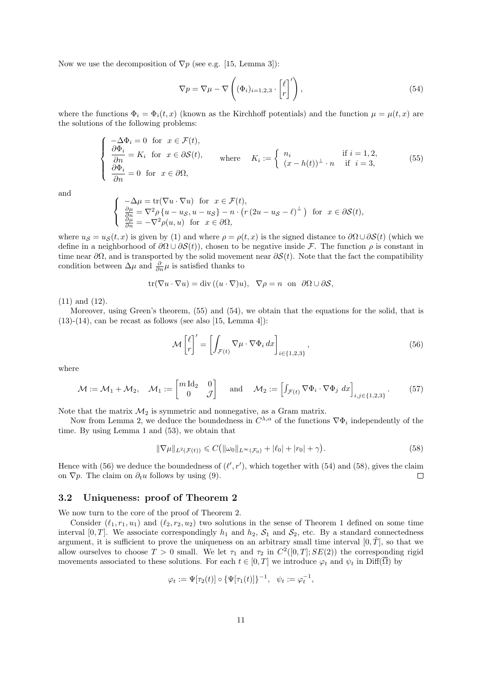Now we use the decomposition of  $\nabla p$  (see e.g. [15, Lemma 3]):

$$
\nabla p = \nabla \mu - \nabla \left( (\Phi_i)_{i=1,2,3} \cdot \begin{bmatrix} \ell \\ r \end{bmatrix}' \right),\tag{54}
$$

where the functions  $\Phi_i = \Phi_i(t, x)$  (known as the Kirchhoff potentials) and the function  $\mu = \mu(t, x)$  are the solutions of the following problems:

$$
\begin{cases}\n-\Delta \Phi_i = 0 \text{ for } x \in \mathcal{F}(t), \\
\frac{\partial \Phi_i}{\partial n} = K_i \text{ for } x \in \partial \mathcal{S}(t), \\
\frac{\partial \Phi_i}{\partial n} = 0 \text{ for } x \in \partial \Omega,\n\end{cases} \quad \text{where} \quad K_i := \begin{cases}\n n_i \\
(x - h(t))^{\perp} \cdot n \text{ if } i = 1, 2, \\
(x - h(t))^{\perp} \cdot n \text{ if } i = 3,\n\end{cases} \tag{55}
$$

and

$$
\begin{cases}\n-\Delta \mu = \text{tr}(\nabla u \cdot \nabla u) \quad \text{for} \quad x \in \mathcal{F}(t), \\
\frac{\partial \mu}{\partial n} = \nabla^2 \rho \{u - u_{\mathcal{S}}, u - u_{\mathcal{S}}\} - n \cdot (r (2u - u_{\mathcal{S}} - \ell)^{\perp}) \quad \text{for} \quad x \in \partial \mathcal{S}(t), \\
\frac{\partial \mu}{\partial n} = -\nabla^2 \rho(u, u) \quad \text{for} \quad x \in \partial \Omega,\n\end{cases}
$$

where  $u_S = u_S(t, x)$  is given by (1) and where  $\rho = \rho(t, x)$  is the signed distance to  $\partial \Omega \cup \partial S(t)$  (which we define in a neighborhood of  $\partial\Omega \cup \partial S(t)$ , chosen to be negative inside F. The function  $\rho$  is constant in time near  $\partial\Omega$ , and is transported by the solid movement near  $\partial S(t)$ . Note that the fact the compatibility condition between  $\Delta \mu$  and  $\frac{\partial}{\partial n} \mu$  is satisfied thanks to

$$
\operatorname{tr}(\nabla u \cdot \nabla u) = \operatorname{div}((u \cdot \nabla)u), \ \nabla \rho = n \text{ on } \partial \Omega \cup \partial \mathcal{S},
$$

(11) and (12).

Moreover, using Green's theorem, (55) and (54), we obtain that the equations for the solid, that is  $(13)-(14)$ , can be recast as follows (see also [15, Lemma 4]):

$$
\mathcal{M}\begin{bmatrix} \ell \\ r \end{bmatrix}' = \left[ \int_{\mathcal{F}(t)} \nabla \mu \cdot \nabla \Phi_i \, dx \right]_{i \in \{1, 2, 3\}},\tag{56}
$$

where

$$
\mathcal{M} := \mathcal{M}_1 + \mathcal{M}_2, \quad \mathcal{M}_1 := \begin{bmatrix} m \, \mathrm{Id}_2 & 0 \\ 0 & \mathcal{J} \end{bmatrix} \quad \text{and} \quad \mathcal{M}_2 := \begin{bmatrix} \int_{\mathcal{F}(t)} \nabla \Phi_i \cdot \nabla \Phi_j \, dx \end{bmatrix}_{i,j \in \{1,2,3\}}. \tag{57}
$$

Note that the matrix  $\mathcal{M}_2$  is symmetric and nonnegative, as a Gram matrix.

Now from Lemma 2, we deduce the boundedness in  $C^{\lambda,\alpha}$  of the functions  $\nabla \Phi_i$  independently of the time. By using Lemma 1 and (53), we obtain that

$$
\|\nabla \mu\|_{L^2(\mathcal{F}(t))} \leqslant C\big(\|\omega_0\|_{L^\infty(\mathcal{F}_0)} + |\ell_0| + |r_0| + \gamma\big). \tag{58}
$$

Hence with (56) we deduce the boundedness of  $(\ell', r')$ , which together with (54) and (58), gives the claim on  $\nabla p$ . The claim on  $\partial_t u$  follows by using (9). П

## 3.2 Uniqueness: proof of Theorem 2

We now turn to the core of the proof of Theorem 2.

Consider  $(\ell_1, r_1, u_1)$  and  $(\ell_2, r_2, u_2)$  two solutions in the sense of Theorem 1 defined on some time interval [0, T]. We associate correspondingly  $h_1$  and  $h_2$ ,  $S_1$  and  $S_2$ , etc. By a standard connectedness argument, it is sufficient to prove the uniqueness on an arbitrary small time interval  $[0, \tilde{T}]$ , so that we allow ourselves to choose  $T > 0$  small. We let  $\tau_1$  and  $\tau_2$  in  $C^2([0,T]; SE(2))$  the corresponding rigid movements associated to these solutions. For each  $t \in [0, T]$  we introduce  $\varphi_t$  and  $\psi_t$  in Diff( $\overline{\Omega}$ ) by

$$
\varphi_t := \Psi[\tau_2(t)] \circ {\{\Psi[\tau_1(t)]\}}^{-1}, \ \ \psi_t := \varphi_t^{-1},
$$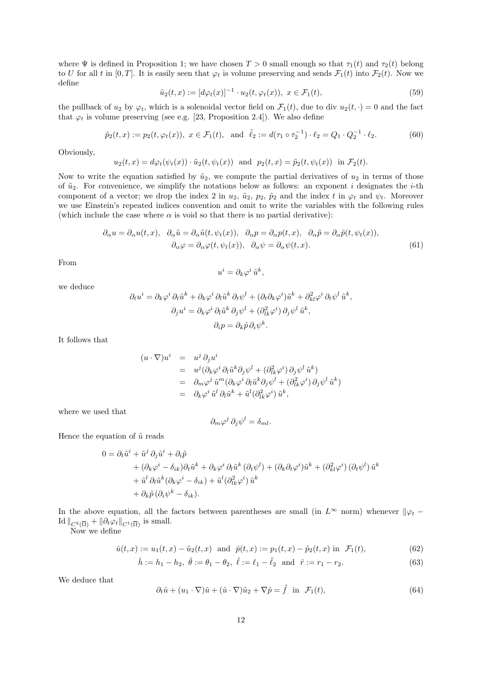where  $\Psi$  is defined in Proposition 1; we have chosen  $T > 0$  small enough so that  $\tau_1(t)$  and  $\tau_2(t)$  belong to U for all t in [0, T]. It is easily seen that  $\varphi_t$  is volume preserving and sends  $\mathcal{F}_1(t)$  into  $\mathcal{F}_2(t)$ . Now we define

$$
\tilde{u}_2(t,x) := [d\varphi_t(x)]^{-1} \cdot u_2(t,\varphi_t(x)), \ x \in \mathcal{F}_1(t), \tag{59}
$$

the pullback of  $u_2$  by  $\varphi_t$ , which is a solenoidal vector field on  $\mathcal{F}_1(t)$ , due to div  $u_2(t, \cdot) = 0$  and the fact that  $\varphi_t$  is volume preserving (see e.g. [23, Proposition 2.4]). We also define

$$
\tilde{p}_2(t,x) := p_2(t,\varphi_t(x)), \ x \in \mathcal{F}_1(t), \ \text{and} \ \tilde{\ell}_2 := d(\tau_1 \circ \tau_2^{-1}) \cdot \ell_2 = Q_1 \cdot Q_2^{-1} \cdot \ell_2. \tag{60}
$$

Obviously,

$$
u_2(t,x) = d\varphi_t(\psi_t(x)) \cdot \tilde{u}_2(t,\psi_t(x)) \quad \text{and} \quad p_2(t,x) = \tilde{p}_2(t,\psi_t(x)) \quad \text{in } \mathcal{F}_2(t).
$$

Now to write the equation satisfied by  $\tilde{u}_2$ , we compute the partial derivatives of  $u_2$  in terms of those of  $\tilde{u}_2$ . For convenience, we simplify the notations below as follows: an exponent i designates the i-th component of a vector; we drop the index 2 in  $u_2$ ,  $\tilde{u}_2$ ,  $p_2$ ,  $\tilde{p}_2$  and the index t in  $\varphi_t$  and  $\psi_t$ . Moreover we use Einstein's repeated indices convention and omit to write the variables with the following rules (which include the case where  $\alpha$  is void so that there is no partial derivative):

$$
\partial_{\alpha} u = \partial_{\alpha} u(t, x), \quad \partial_{\alpha} \tilde{u} = \partial_{\alpha} \tilde{u}(t, \psi_t(x)), \quad \partial_{\alpha} p = \partial_{\alpha} p(t, x), \quad \partial_{\alpha} \tilde{p} = \partial_{\alpha} \tilde{p}(t, \psi_t(x)),
$$

$$
\partial_{\alpha} \varphi = \partial_{\alpha} \varphi(t, \psi_t(x)), \quad \partial_{\alpha} \psi = \partial_{\alpha} \psi(t, x).
$$
(61)

From

$$
u^i = \partial_k \varphi^i \, \tilde{u}^k,
$$

we deduce

$$
\partial_t u^i = \partial_k \varphi^i \, \partial_t \tilde{u}^k + \partial_k \varphi^i \, \partial_l \tilde{u}^k \, \partial_t \psi^l + (\partial_t \partial_k \varphi^i) \tilde{u}^k + \partial_k^2 \varphi^i \, \partial_t \psi^l \, \tilde{u}^k,
$$
  

$$
\partial_j u^i = \partial_k \varphi^i \, \partial_l \tilde{u}^k \, \partial_j \psi^l + (\partial_{lk}^2 \varphi^i) \, \partial_j \psi^l \, \tilde{u}^k,
$$
  

$$
\partial_i p = \partial_k \tilde{p} \, \partial_i \psi^k.
$$

It follows that

$$
(u \cdot \nabla)u^{i} = u^{j} \partial_{j}u^{i}
$$
  
\n
$$
= u^{j} (\partial_{k}\varphi^{i} \partial_{l}\tilde{u}^{k} \partial_{j}\psi^{l} + (\partial_{lk}^{2}\varphi^{i}) \partial_{j}\psi^{l} \tilde{u}^{k})
$$
  
\n
$$
= \partial_{m}\varphi^{j} \tilde{u}^{m} (\partial_{k}\varphi^{i} \partial_{l}\tilde{u}^{k} \partial_{j}\psi^{l} + (\partial_{lk}^{2}\varphi^{i}) \partial_{j}\psi^{l} \tilde{u}^{k})
$$
  
\n
$$
= \partial_{k}\varphi^{i} \tilde{u}^{l} \partial_{l}\tilde{u}^{k} + \tilde{u}^{l} (\partial_{lk}^{2}\varphi^{i}) \tilde{u}^{k},
$$

where we used that

$$
\partial_m \varphi^j \, \partial_j \psi^l = \delta_{ml}.
$$

Hence the equation of  $\tilde{u}$  reads

$$
0 = \partial_t \tilde{u}^i + \tilde{u}^j \partial_j \tilde{u}^i + \partial_i \tilde{p}
$$
  
+ 
$$
(\partial_k \varphi^i - \delta_{ik}) \partial_t \tilde{u}^k + \partial_k \varphi^i \partial_l \tilde{u}^k (\partial_t \psi^l) + (\partial_k \partial_t \varphi^i) \tilde{u}^k + (\partial_{kl}^2 \varphi^i) (\partial_t \psi^l) \tilde{u}^k
$$
  
+ 
$$
\tilde{u}^l \partial_l \tilde{u}^k (\partial_k \varphi^i - \delta_{ik}) + \tilde{u}^l (\partial_{lk}^2 \varphi^i) \tilde{u}^k
$$
  
+ 
$$
\partial_k \tilde{p} (\partial_i \psi^k - \delta_{ik}).
$$

In the above equation, all the factors between parentheses are small (in  $L^{\infty}$  norm) whenever  $\|\varphi_t - \varphi_t\|$ Id  $||_{C^2(\overline{\Omega})} + ||\partial_t \varphi_t||_{C^1(\overline{\Omega})}$  is small.

Now we define

$$
\hat{u}(t,x) := u_1(t,x) - \tilde{u}_2(t,x) \text{ and } \hat{p}(t,x) := p_1(t,x) - \tilde{p}_2(t,x) \text{ in } \mathcal{F}_1(t),
$$
\n(62)

$$
\hat{h} := h_1 - h_2, \ \hat{\theta} := \theta_1 - \theta_2, \ \hat{\ell} := \ell_1 - \tilde{\ell}_2 \ \text{ and } \ \hat{r} := r_1 - r_2. \tag{63}
$$

We deduce that

$$
\partial_t \hat{u} + (u_1 \cdot \nabla)\hat{u} + (\hat{u} \cdot \nabla)\tilde{u}_2 + \nabla \hat{p} = \tilde{f} \text{ in } \mathcal{F}_1(t), \tag{64}
$$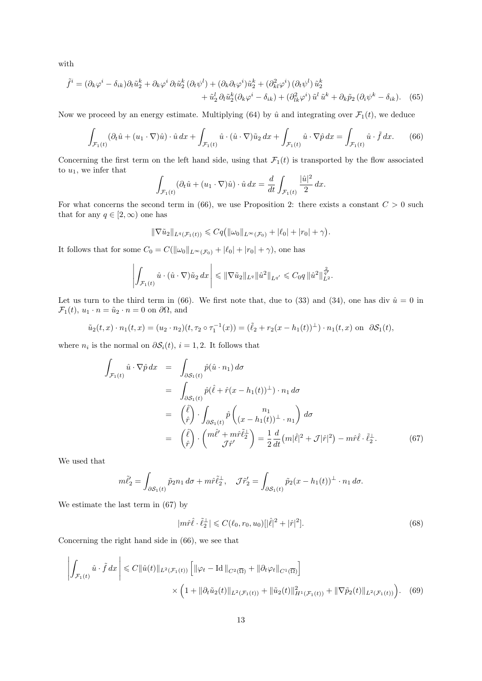with

$$
\tilde{f}^i = (\partial_k \varphi^i - \delta_{ik}) \partial_t \tilde{u}_2^k + \partial_k \varphi^i \partial_l \tilde{u}_2^k (\partial_t \psi^l) + (\partial_k \partial_t \varphi^i) \tilde{u}_2^k + (\partial_{kl}^2 \varphi^i) (\partial_t \psi^l) \tilde{u}_2^k + \tilde{u}_2^l \partial_l \tilde{u}_2^k (\partial_k \varphi^i - \delta_{ik}) + (\partial_{lk}^2 \varphi^i) \tilde{u}^l \tilde{u}^k + \partial_k \tilde{p}_2 (\partial_i \psi^k - \delta_{ik}).
$$
 (65)

Now we proceed by an energy estimate. Multiplying (64) by  $\hat{u}$  and integrating over  $\mathcal{F}_1(t)$ , we deduce

$$
\int_{\mathcal{F}_1(t)} (\partial_t \hat{u} + (u_1 \cdot \nabla) \hat{u}) \cdot \hat{u} \, dx + \int_{\mathcal{F}_1(t)} \hat{u} \cdot (\hat{u} \cdot \nabla) \tilde{u}_2 \, dx + \int_{\mathcal{F}_1(t)} \hat{u} \cdot \nabla \hat{p} \, dx = \int_{\mathcal{F}_1(t)} \hat{u} \cdot \tilde{f} \, dx. \tag{66}
$$

Concerning the first term on the left hand side, using that  $\mathcal{F}_1(t)$  is transported by the flow associated to  $u_1$ , we infer that

$$
\int_{\mathcal{F}_1(t)} (\partial_t \hat{u} + (u_1 \cdot \nabla) \hat{u}) \cdot \hat{u} \, dx = \frac{d}{dt} \int_{\mathcal{F}_1(t)} \frac{|\hat{u}|^2}{2} \, dx.
$$

For what concerns the second term in (66), we use Proposition 2: there exists a constant  $C > 0$  such that for any  $q \in [2, \infty)$  one has

$$
\|\nabla \tilde{u}_2\|_{L^q(\mathcal{F}_1(t))} \leqslant Cq(\|\omega_0\|_{L^{\infty}(\mathcal{F}_0)} + |\ell_0| + |r_0| + \gamma).
$$

It follows that for some  $C_0 = C(||\omega_0||_{L^\infty(\mathcal{F}_0)} + |\ell_0| + |r_0| + \gamma)$ , one has

$$
\left| \int_{\mathcal{F}_1(t)} \hat{u} \cdot (\hat{u} \cdot \nabla) \tilde{u}_2 \, dx \right| \leq \|\nabla \tilde{u}_2\|_{L^q} \|\hat{u}^2\|_{L^{q'}} \leq C_0 q \, \|\hat{u}^2\|_{L^2}^{\frac{2}{q'}}.
$$

Let us turn to the third term in (66). We first note that, due to (33) and (34), one has div  $\hat{u} = 0$  in  $\mathcal{F}_1(t), u_1 \cdot n = \tilde{u}_2 \cdot n = 0$  on  $\partial\Omega$ , and

$$
\tilde{u}_2(t,x) \cdot n_1(t,x) = (u_2 \cdot n_2)(t, \tau_2 \circ \tau_1^{-1}(x)) = (\tilde{\ell}_2 + r_2(x - h_1(t))^{\perp}) \cdot n_1(t,x) \text{ on } \partial S_1(t),
$$

where  $n_i$  is the normal on  $\partial \mathcal{S}_i(t)$ ,  $i = 1, 2$ . It follows that

$$
\int_{\mathcal{F}_1(t)} \hat{u} \cdot \nabla \hat{p} dx = \int_{\partial \mathcal{S}_1(t)} \hat{p} (\hat{u} \cdot n_1) d\sigma
$$
\n
$$
= \int_{\partial \mathcal{S}_1(t)} \hat{p} (\hat{\ell} + \hat{r} (x - h_1(t))^{\perp}) \cdot n_1 d\sigma
$$
\n
$$
= \left(\frac{\hat{\ell}}{\hat{r}}\right) \cdot \int_{\partial \mathcal{S}_1(t)} \hat{p} \left(\frac{n_1}{(x - h_1(t))^{\perp} \cdot n_1}\right) d\sigma
$$
\n
$$
= \left(\frac{\hat{\ell}}{\hat{r}}\right) \cdot \left(\frac{m \hat{\ell}^{\prime} + m \hat{r} \tilde{\ell}_{\perp}^{\perp}}{\mathcal{J} \hat{r}^{\prime}}\right) = \frac{1}{2} \frac{d}{dt} (m |\hat{\ell}|^2 + \mathcal{J} |\hat{r}|^2) - m \hat{r} \hat{\ell} \cdot \tilde{\ell}_{\perp}^{\perp}.
$$
\n(67)

We used that

$$
m\tilde{\ell}'_2 = \int_{\partial S_1(t)} \tilde{p}_2 n_1 d\sigma + m\hat{r}\tilde{\ell}_2^{\perp}, \quad \mathcal{J}\tilde{r}'_2 = \int_{\partial S_1(t)} \tilde{p}_2 (x - h_1(t))^{\perp} \cdot n_1 d\sigma.
$$

We estimate the last term in (67) by

$$
|m\hat{r}\hat{\ell}\cdot\tilde{\ell}_2^{\perp}| \leq C(\ell_0, r_0, u_0)[|\hat{\ell}|^2 + |\hat{r}|^2].\tag{68}
$$

Concerning the right hand side in (66), we see that

$$
\left| \int_{\mathcal{F}_1(t)} \hat{u} \cdot \tilde{f} \, dx \right| \leq C \| \hat{u}(t) \|_{L^2(\mathcal{F}_1(t))} \left[ \| \varphi_t - \text{Id} \|_{C^2(\overline{\Omega})} + \| \partial_t \varphi_t \|_{C^1(\overline{\Omega})} \right] \times \left( 1 + \| \partial_t \tilde{u}_2(t) \|_{L^2(\mathcal{F}_1(t))} + \| \tilde{u}_2(t) \|_{H^1(\mathcal{F}_1(t))}^2 + \| \nabla \tilde{p}_2(t) \|_{L^2(\mathcal{F}_1(t))} \right). \tag{69}
$$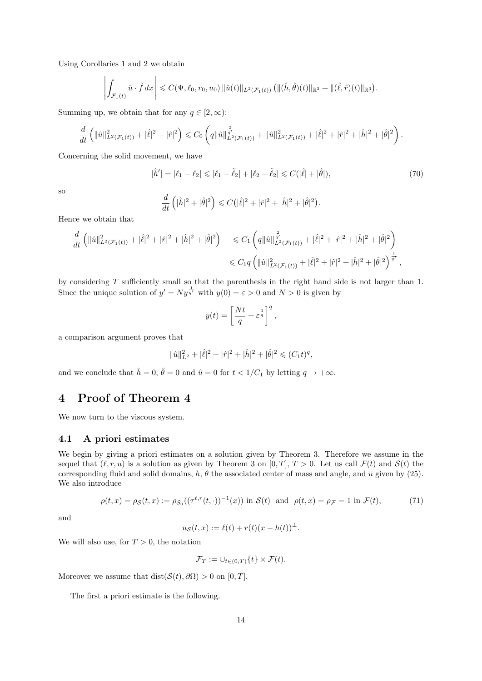Using Corollaries 1 and 2 we obtain

$$
\left| \int_{\mathcal{F}_1(t)} \hat{u} \cdot \tilde{f} dx \right| \leq C(\Psi, \ell_0, r_0, u_0) \|\hat{u}(t)\|_{L^2(\mathcal{F}_1(t))} \left( \|(\hat{h}, \hat{\theta})(t)\|_{\mathbb{R}^3} + \|(\hat{\ell}, \hat{r})(t)\|_{\mathbb{R}^3} \right).
$$

Summing up, we obtain that for any  $q \in [2, \infty)$ :

$$
\frac{d}{dt}\left(\|\hat{u}\|_{L^2(\mathcal{F}_1(t))}^2+|\hat{\ell}|^2+|\hat{r}|^2\right)\leqslant C_0\left(q\|\hat{u}\|_{L^2(\mathcal{F}_1(t))}^{\frac{2}{q'}}+\|\hat{u}\|_{L^2(\mathcal{F}_1(t))}^2+|\hat{\ell}|^2+|\hat{r}|^2+|\hat{h}|^2+|\hat{\theta}|^2\right).
$$

Concerning the solid movement, we have

$$
|\hat{h}'| = |\ell_1 - \ell_2| \le |\ell_1 - \tilde{\ell}_2| + |\ell_2 - \tilde{\ell}_2| \le C(|\hat{\ell}| + |\hat{\theta}|),\tag{70}
$$

so

$$
\frac{d}{dt}\left(|\hat{h}|^2+|\hat{\theta}|^2\right)\leqslant C(|\hat{\ell}|^2+|\hat{r}|^2+|\hat{h}|^2+|\hat{\theta}|^2).
$$

Hence we obtain that

$$
\begin{split} \frac{d}{dt}\left(\|\hat{u}\|_{L^{2}(\mathcal{F}_{1}(t))}^{2}+|\hat{\ell}|^{2}+|\hat{r}|^{2}+|\hat{h}|^{2}+|\hat{\theta}|^{2}\right) & \quad \leqslant C_{1}\left(q\|\hat{u}\|_{L^{2}(\mathcal{F}_{1}(t))}^{\frac{2}{q'}}+|\hat{\ell}|^{2}+|\hat{r}|^{2}+|\hat{h}|^{2}+|\hat{\theta}|^{2}\right) \\ & \quad \leqslant C_{1}q\left(\|\hat{u}\|_{L^{2}(\mathcal{F}_{1}(t))}^{2}+|\hat{\ell}|^{2}+|\hat{r}|^{2}+|\hat{h}|^{2}+|\hat{\theta}|^{2}\right)^{\frac{1}{q'}}, \end{split}
$$

by considering T sufficiently small so that the parenthesis in the right hand side is not larger than 1. Since the unique solution of  $y' = Ny^{\frac{1}{q'}}$  with  $y(0) = \varepsilon > 0$  and  $N > 0$  is given by

$$
y(t) = \left[\frac{Nt}{q} + \varepsilon^{\frac{1}{q}}\right]^q,
$$

a comparison argument proves that

$$
\|\hat{u}\|_{L^2}^2 + |\hat{\ell}|^2 + |\hat{r}|^2 + |\hat{h}|^2 + |\hat{\theta}|^2 \leq (C_1 t)^q,
$$

and we conclude that  $\hat{h} = 0$ ,  $\hat{\theta} = 0$  and  $\hat{u} = 0$  for  $t < 1/C_1$  by letting  $q \to +\infty$ .

## 4 Proof of Theorem 4

We now turn to the viscous system.

### 4.1 A priori estimates

We begin by giving a priori estimates on a solution given by Theorem 3. Therefore we assume in the sequel that  $(\ell, r, u)$  is a solution as given by Theorem 3 on [0, T],  $T > 0$ . Let us call  $\mathcal{F}(t)$  and  $\mathcal{S}(t)$  the corresponding fluid and solid domains, h,  $\theta$  the associated center of mass and angle, and  $\bar{u}$  given by (25). We also introduce

$$
\rho(t,x) = \rho_{\mathcal{S}}(t,x) := \rho_{\mathcal{S}_0}((\tau^{\ell,r}(t,\cdot))^{-1}(x)) \text{ in } \mathcal{S}(t) \text{ and } \rho(t,x) = \rho_{\mathcal{F}} = 1 \text{ in } \mathcal{F}(t), \tag{71}
$$

and

$$
u_{\mathcal{S}}(t,x) := \ell(t) + r(t)(x - h(t))^{\perp}.
$$

We will also use, for  $T > 0$ , the notation

$$
\mathcal{F}_T := \bigcup_{t \in (0,T)} \{t\} \times \mathcal{F}(t).
$$

Moreover we assume that dist $(S(t), \partial \Omega) > 0$  on [0, T].

The first a priori estimate is the following.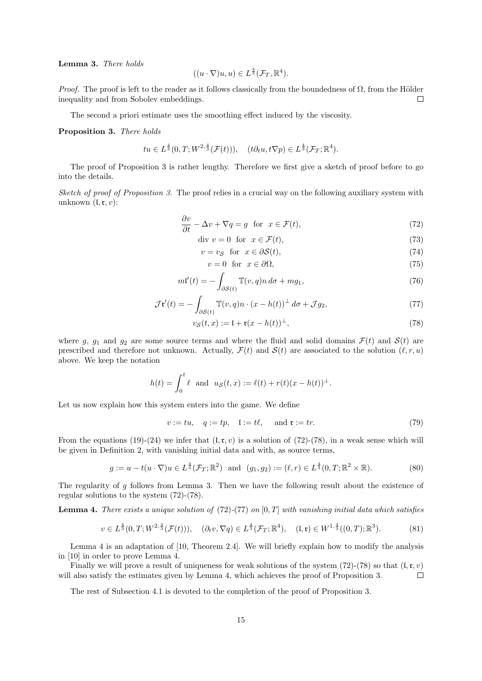Lemma 3. There holds

$$
((u\cdot\nabla)u,u)\in L^{\frac{4}{3}}(\mathcal{F}_T,\mathbb{R}^4).
$$

*Proof.* The proof is left to the reader as it follows classically from the boundedness of  $\Omega$ , from the Hölder inequality and from Sobolev embeddings.  $\Box$ 

The second a priori estimate uses the smoothing effect induced by the viscosity.

#### Proposition 3. There holds

$$
tu \in L^{\frac{4}{3}}(0,T;W^{2,\frac{4}{3}}(\mathcal{F}(t))), \quad (t\partial_t u, t\nabla p) \in L^{\frac{4}{3}}(\mathcal{F}_T;\mathbb{R}^4).
$$

The proof of Proposition 3 is rather lengthy. Therefore we first give a sketch of proof before to go into the details.

Sketch of proof of Proposition 3. The proof relies in a crucial way on the following auxiliary system with unknown  $(I, r, v)$ :

$$
\frac{\partial v}{\partial t} - \Delta v + \nabla q = g \quad \text{for} \quad x \in \mathcal{F}(t),\tag{72}
$$

$$
\text{div } v = 0 \quad \text{for } x \in \mathcal{F}(t),\tag{73}
$$

$$
v = v_{\mathcal{S}} \quad \text{for} \quad x \in \partial \mathcal{S}(t),\tag{74}
$$

$$
v = 0 \quad \text{for} \quad x \in \partial \Omega,\tag{75}
$$

$$
m'(t) = -\int_{\partial S(t)} \mathbb{T}(v, q) n \, d\sigma + m g_1,\tag{76}
$$

$$
\mathcal{J}\mathbf{t}'(t) = -\int_{\partial S(t)} \mathbb{T}(v, q) n \cdot (x - h(t))^{\perp} d\sigma + \mathcal{J}g_2,\tag{77}
$$

$$
v_{\mathcal{S}}(t,x) := \mathfrak{l} + \mathfrak{r}(x - h(t))^{\perp},\tag{78}
$$

where g, g<sub>1</sub> and g<sub>2</sub> are some source terms and where the fluid and solid domains  $\mathcal{F}(t)$  and  $\mathcal{S}(t)$  are prescribed and therefore not unknown. Actually,  $\mathcal{F}(t)$  and  $\mathcal{S}(t)$  are associated to the solution  $(\ell, r, u)$ above. We keep the notation

$$
h(t) = \int_0^t \ell
$$
 and  $u_S(t, x) := \ell(t) + r(t)(x - h(t))^{\perp}$ .

Let us now explain how this system enters into the game. We define

$$
v := tu, \quad q := tp, \quad \mathfrak{l} := t\ell, \quad \text{and } \mathfrak{r} := tr. \tag{79}
$$

From the equations (19)-(24) we infer that  $(I, \mathfrak{r}, v)$  is a solution of (72)-(78), in a weak sense which will be given in Definition 2, with vanishing initial data and with, as source terms,

$$
g := u - t(u \cdot \nabla)u \in L^{\frac{4}{3}}(\mathcal{F}_T; \mathbb{R}^2) \text{ and } (g_1, g_2) := (\ell, r) \in L^{\frac{4}{3}}(0, T; \mathbb{R}^2 \times \mathbb{R}).
$$
 (80)

The regularity of  $g$  follows from Lemma 3. Then we have the following result about the existence of regular solutions to the system (72)-(78).

**Lemma 4.** There exists a unique solution of (72)-(77) on [0, T] with vanishing initial data which satisfies

$$
v \in L^{\frac{4}{3}}(0,T;W^{2,\frac{4}{3}}(\mathcal{F}(t))), \quad (\partial_t v, \nabla q) \in L^{\frac{4}{3}}(\mathcal{F}_T;\mathbb{R}^4), \quad (\mathfrak{l}, \mathfrak{r}) \in W^{1,\frac{4}{3}}((0,T);\mathbb{R}^3). \tag{81}
$$

Lemma 4 is an adaptation of [10, Theorem 2.4]. We will briefly explain how to modify the analysis in [10] in order to prove Lemma 4.

Finally we will prove a result of uniqueness for weak solutions of the system (72)-(78) so that  $($ l, r, v) will also satisfy the estimates given by Lemma 4, which achieves the proof of Proposition 3.  $\Box$ 

The rest of Subsection 4.1 is devoted to the completion of the proof of Proposition 3.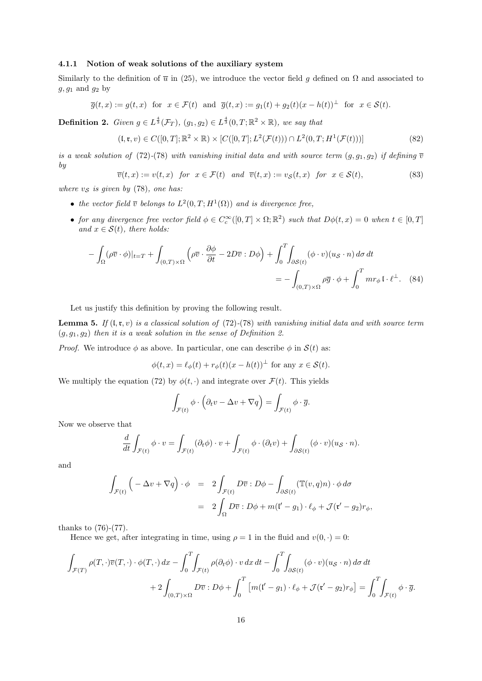#### 4.1.1 Notion of weak solutions of the auxiliary system

Similarly to the definition of  $\bar{u}$  in (25), we introduce the vector field g defined on  $\Omega$  and associated to  $g, g_1$  and  $g_2$  by

$$
\overline{g}(t,x) := g(t,x) \text{ for } x \in \mathcal{F}(t) \text{ and } \overline{g}(t,x) := g_1(t) + g_2(t)(x - h(t))^{\perp} \text{ for } x \in \mathcal{S}(t).
$$

**Definition 2.** Given  $g \in L^{\frac{4}{3}}(\mathcal{F}_T)$ ,  $(g_1, g_2) \in L^{\frac{4}{3}}(0,T;\mathbb{R}^2 \times \mathbb{R})$ , we say that

$$
(\mathfrak{l}, \mathfrak{r}, v) \in C([0, T]; \mathbb{R}^2 \times \mathbb{R}) \times [C([0, T]; L^2(\mathcal{F}(t))) \cap L^2(0, T; H^1(\mathcal{F}(t)))] \tag{82}
$$

is a weak solution of (72)-(78) with vanishing initial data and with source term  $(g, g_1, g_2)$  if defining  $\overline{v}$ by

$$
\overline{v}(t,x) := v(t,x) \quad \text{for} \quad x \in \mathcal{F}(t) \quad \text{and} \quad \overline{v}(t,x) := v_{\mathcal{S}}(t,x) \quad \text{for} \quad x \in \mathcal{S}(t), \tag{83}
$$

where  $v_s$  is given by (78), one has:

- the vector field  $\overline{v}$  belongs to  $L^2(0,T;H^1(\Omega))$  and is divergence free,
- for any divergence free vector field  $\phi \in C_c^{\infty}([0,T] \times \Omega;\mathbb{R}^2)$  such that  $D\phi(t,x) = 0$  when  $t \in [0,T]$ and  $x \in \mathcal{S}(t)$ , there holds:

$$
- \int_{\Omega} (\rho \overline{v} \cdot \phi)|_{t=T} + \int_{(0,T) \times \Omega} \left( \rho \overline{v} \cdot \frac{\partial \phi}{\partial t} - 2D\overline{v} : D\phi \right) + \int_{0}^{T} \int_{\partial S(t)} (\phi \cdot v)(u_{\mathcal{S}} \cdot n) d\sigma dt
$$
  
= 
$$
- \int_{(0,T) \times \Omega} \rho \overline{g} \cdot \phi + \int_{0}^{T} mr_{\phi} \mathfrak{l} \cdot \ell^{\perp}.
$$
 (84)

Let us justify this definition by proving the following result.

**Lemma 5.** If  $(1, r, v)$  is a classical solution of (72)-(78) with vanishing initial data and with source term  $(g, g_1, g_2)$  then it is a weak solution in the sense of Definition 2.

*Proof.* We introduce  $\phi$  as above. In particular, one can describe  $\phi$  in  $\mathcal{S}(t)$  as:

$$
\phi(t,x) = \ell_{\phi}(t) + r_{\phi}(t)(x - h(t))^{\perp} \text{ for any } x \in \mathcal{S}(t).
$$

We multiply the equation (72) by  $\phi(t, \cdot)$  and integrate over  $\mathcal{F}(t)$ . This yields

$$
\int_{\mathcal{F}(t)} \phi \cdot \left( \partial_t v - \Delta v + \nabla q \right) = \int_{\mathcal{F}(t)} \phi \cdot \overline{g}.
$$

Now we observe that

$$
\frac{d}{dt} \int_{\mathcal{F}(t)} \phi \cdot v = \int_{\mathcal{F}(t)} (\partial_t \phi) \cdot v + \int_{\mathcal{F}(t)} \phi \cdot (\partial_t v) + \int_{\partial \mathcal{S}(t)} (\phi \cdot v)(u_{\mathcal{S}} \cdot n).
$$

and

$$
\int_{\mathcal{F}(t)} \left( -\Delta v + \nabla q \right) \cdot \phi = 2 \int_{\mathcal{F}(t)} D\overline{v} : D\phi - \int_{\partial S(t)} (\mathbb{T}(v, q)n) \cdot \phi \, d\sigma
$$
\n
$$
= 2 \int_{\Omega} D\overline{v} : D\phi + m(\mathfrak{l}' - g_1) \cdot \ell_{\phi} + \mathcal{J}(\mathfrak{r}' - g_2) r_{\phi},
$$

thanks to (76)-(77).

Hence we get, after integrating in time, using  $\rho = 1$  in the fluid and  $v(0, \cdot) = 0$ :

$$
\int_{\mathcal{F}(T)} \rho(T, \cdot) \overline{v}(T, \cdot) \cdot \phi(T, \cdot) dx - \int_0^T \int_{\mathcal{F}(t)} \rho(\partial_t \phi) \cdot v dx dt - \int_0^T \int_{\partial S(t)} (\phi \cdot v)(u_S \cdot n) d\sigma dt \n+ 2 \int_{(0,T) \times \Omega} D\overline{v} : D\phi + \int_0^T \left[ m((t' - g_1) \cdot \ell_\phi + \mathcal{J}(t' - g_2) r_\phi \right] = \int_0^T \int_{\mathcal{F}(t)} \phi \cdot \overline{g}.
$$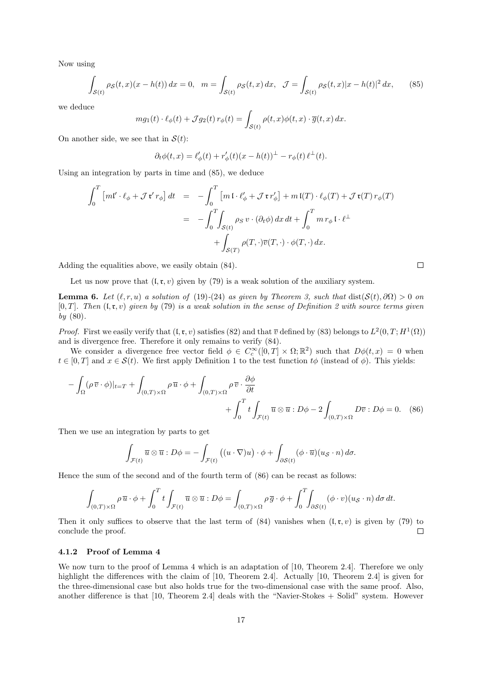Now using

$$
\int_{\mathcal{S}(t)} \rho_{\mathcal{S}}(t,x)(x-h(t)) dx = 0, \quad m = \int_{\mathcal{S}(t)} \rho_{\mathcal{S}}(t,x) dx, \quad \mathcal{J} = \int_{\mathcal{S}(t)} \rho_{\mathcal{S}}(t,x)|x-h(t)|^2 dx, \tag{85}
$$

we deduce

$$
mg_1(t) \cdot \ell_{\phi}(t) + \mathcal{J}g_2(t) \, r_{\phi}(t) = \int_{\mathcal{S}(t)} \rho(t, x) \phi(t, x) \cdot \overline{g}(t, x) \, dx.
$$

On another side, we see that in  $S(t)$ :

$$
\partial_t \phi(t, x) = \ell_{\phi}'(t) + r_{\phi}'(t)(x - h(t))^{\perp} - r_{\phi}(t) \ell^{\perp}(t).
$$

Using an integration by parts in time and (85), we deduce

$$
\int_0^T \left[ m\mathbf{I}' \cdot \ell_\phi + \mathcal{J} \mathbf{t}' r_\phi \right] dt = -\int_0^T \left[ m \mathbf{I} \cdot \ell'_\phi + \mathcal{J} \mathbf{t} r'_\phi \right] + m \mathbf{I}(T) \cdot \ell_\phi(T) + \mathcal{J} \mathbf{t}(T) r_\phi(T)
$$
  

$$
= -\int_0^T \int_{S(t)} \rho_S v \cdot (\partial_t \phi) dx dt + \int_0^T m r_\phi \mathbf{I} \cdot \ell^\perp
$$

$$
+ \int_{S(T)} \rho(T, \cdot) \overline{v}(T, \cdot) \cdot \phi(T, \cdot) dx.
$$

Adding the equalities above, we easily obtain (84).

Let us now prove that  $(I, \mathfrak{x}, v)$  given by (79) is a weak solution of the auxiliary system.

**Lemma 6.** Let  $(\ell, r, u)$  a solution of (19)-(24) as given by Theorem 3, such that dist( $S(t), \partial \Omega$ ) > 0 on  $[0, T]$ . Then  $(\mathfrak{l}, \mathfrak{r}, v)$  given by (79) is a weak solution in the sense of Definition 2 with source terms given  $by (80).$ 

*Proof.* First we easily verify that  $(I, \mathfrak{r}, v)$  satisfies (82) and that  $\overline{v}$  defined by (83) belongs to  $L^2(0, T; H^1(\Omega))$ and is divergence free. Therefore it only remains to verify (84).

We consider a divergence free vector field  $\phi \in C_c^{\infty}([0,T] \times \Omega;\mathbb{R}^2)$  such that  $D\phi(t,x) = 0$  when  $t \in [0, T]$  and  $x \in \mathcal{S}(t)$ . We first apply Definition 1 to the test function  $t\phi$  (instead of  $\phi$ ). This yields:

$$
- \int_{\Omega} (\rho \overline{v} \cdot \phi)|_{t=T} + \int_{(0,T)\times\Omega} \rho \overline{u} \cdot \phi + \int_{(0,T)\times\Omega} \rho \overline{v} \cdot \frac{\partial \phi}{\partial t} + \int_{0}^{T} t \int_{\mathcal{F}(t)} \overline{u} \otimes \overline{u} : D\phi - 2 \int_{(0,T)\times\Omega} D\overline{v} : D\phi = 0. \quad (86)
$$

Then we use an integration by parts to get

$$
\int_{\mathcal{F}(t)} \overline{u} \otimes \overline{u} : D\phi = -\int_{\mathcal{F}(t)} \left( (u \cdot \nabla)u \right) \cdot \phi + \int_{\partial S(t)} (\phi \cdot \overline{u}) (u_S \cdot n) d\sigma.
$$

Hence the sum of the second and of the fourth term of (86) can be recast as follows:

$$
\int_{(0,T)\times\Omega} \rho \, \overline{u} \cdot \phi + \int_0^T t \int_{\mathcal{F}(t)} \overline{u} \otimes \overline{u} : D\phi = \int_{(0,T)\times\Omega} \rho \, \overline{g} \cdot \phi + \int_0^T \int_{\partial S(t)} (\phi \cdot v)(u_S \cdot n) \, d\sigma \, dt.
$$

Then it only suffices to observe that the last term of  $(84)$  vanishes when  $(1, \mathfrak{r}, v)$  is given by (79) to conclude the proof.  $\Box$ 

### 4.1.2 Proof of Lemma 4

We now turn to the proof of Lemma 4 which is an adaptation of [10, Theorem 2.4]. Therefore we only highlight the differences with the claim of [10, Theorem 2.4]. Actually [10, Theorem 2.4] is given for the three-dimensional case but also holds true for the two-dimensional case with the same proof. Also, another difference is that [10, Theorem 2.4] deals with the "Navier-Stokes + Solid" system. However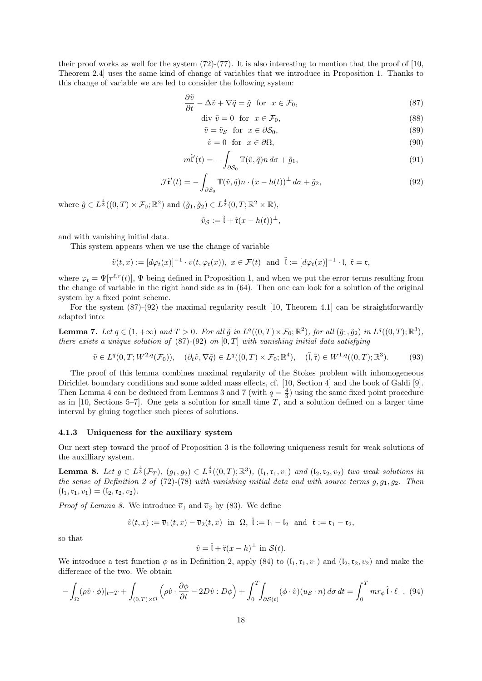their proof works as well for the system  $(72)-(77)$ . It is also interesting to mention that the proof of [10, Theorem 2.4] uses the same kind of change of variables that we introduce in Proposition 1. Thanks to this change of variable we are led to consider the following system:

$$
\frac{\partial \tilde{v}}{\partial t} - \Delta \tilde{v} + \nabla \tilde{q} = \tilde{g} \quad \text{for} \quad x \in \mathcal{F}_0,
$$
\n(87)

$$
\text{div } \tilde{v} = 0 \quad \text{for } x \in \mathcal{F}_0,\tag{88}
$$

$$
\tilde{v} = \tilde{v}_{\mathcal{S}} \quad \text{for} \quad x \in \partial \mathcal{S}_0,\tag{89}
$$

$$
\tilde{v} = 0 \quad \text{for} \quad x \in \partial \Omega,\tag{90}
$$

$$
m\tilde{l}'(t) = -\int_{\partial \mathcal{S}_0} \mathbb{T}(\tilde{v}, \tilde{q}) n \, d\sigma + \tilde{g}_1,\tag{91}
$$

$$
\mathcal{J}\tilde{\mathbf{t}}'(t) = -\int_{\partial S_0} \mathbb{T}(\tilde{v}, \tilde{q}) n \cdot (x - h(t))^{\perp} d\sigma + \tilde{g}_2,
$$
\n(92)

where  $\tilde{g} \in L^{\frac{4}{3}}((0,T) \times \mathcal{F}_0;\mathbb{R}^2)$  and  $(\tilde{g}_1, \tilde{g}_2) \in L^{\frac{4}{3}}(0,T;\mathbb{R}^2 \times \mathbb{R}),$ 

$$
\tilde{v}_{\mathcal{S}} := \tilde{\mathfrak{l}} + \tilde{\mathfrak{r}}(x - h(t))^{\perp},
$$

and with vanishing initial data.

This system appears when we use the change of variable

$$
\tilde{v}(t,x):=[d\varphi_t(x)]^{-1}\cdot v(t,\varphi_t(x)),\,\,x\in\mathcal{F}(t)\ \ \text{and}\ \ \tilde{\mathfrak{l}}:=[d\varphi_t(x)]^{-1}\cdot\mathfrak{l},\,\,\tilde{\mathfrak{r}}=\mathfrak{r},
$$

where  $\varphi_t = \Psi[\tau^{\ell,r}(t)], \Psi$  being defined in Proposition 1, and when we put the error terms resulting from the change of variable in the right hand side as in (64). Then one can look for a solution of the original system by a fixed point scheme.

For the system (87)-(92) the maximal regularity result [10, Theorem 4.1] can be straightforwardly adapted into:

**Lemma 7.** Let  $q \in (1, +\infty)$  and  $T > 0$ . For all  $\tilde{g}$  in  $L^q((0,T) \times \mathcal{F}_0; \mathbb{R}^2)$ , for all  $(\tilde{g}_1, \tilde{g}_2)$  in  $L^q((0,T); \mathbb{R}^3)$ , there exists a unique solution of  $(87)-(92)$  on  $[0, T]$  with vanishing initial data satisfying

$$
\tilde{v} \in L^q(0,T;W^{2,q}(\mathcal{F}_0)), \quad (\partial_t \tilde{v}, \nabla \tilde{q}) \in L^q((0,T) \times \mathcal{F}_0; \mathbb{R}^4), \quad (\tilde{\mathfrak{l}}, \tilde{\mathfrak{r}}) \in W^{1,q}((0,T); \mathbb{R}^3). \tag{93}
$$

The proof of this lemma combines maximal regularity of the Stokes problem with inhomogeneous Dirichlet boundary conditions and some added mass effects, cf. [10, Section 4] and the book of Galdi [9]. Then Lemma 4 can be deduced from Lemmas 3 and 7 (with  $q = \frac{4}{3}$ ) using the same fixed point procedure as in [10, Sections 5–7]. One gets a solution for small time  $T$ , and a solution defined on a larger time interval by gluing together such pieces of solutions.

#### 4.1.3 Uniqueness for the auxiliary system

Our next step toward the proof of Proposition 3 is the following uniqueness result for weak solutions of the auxilliary system.

**Lemma 8.** Let  $g \in L^{\frac{4}{3}}(\mathcal{F}_T)$ ,  $(g_1, g_2) \in L^{\frac{4}{3}}((0,T);\mathbb{R}^3)$ ,  $(I_1, r_1, v_1)$  and  $(I_2, r_2, v_2)$  two weak solutions in the sense of Definition 2 of  $(72)-(78)$  with vanishing initial data and with source terms  $g, g_1, g_2$ . Then  $(I_1, \mathfrak{r}_1, v_1) = (I_2, \mathfrak{r}_2, v_2).$ 

*Proof of Lemma 8.* We introduce  $\overline{v}_1$  and  $\overline{v}_2$  by (83). We define

$$
\hat{v}(t,x):=\overline{v}_1(t,x)-\overline{v}_2(t,x)\quad \text{in}\quad \Omega,\ \hat{\mathfrak{l}}:=\mathfrak{l}_1-\mathfrak{l}_2\quad \text{and}\quad \hat{\mathfrak{r}}:=\mathfrak{r}_1-\mathfrak{r}_2,
$$

so that

$$
\hat{v} = \hat{\mathfrak{l}} + \hat{\mathfrak{r}}(x - h)^{\perp} \text{ in } \mathcal{S}(t).
$$

We introduce a test function  $\phi$  as in Definition 2, apply (84) to  $(I_1, r_1, v_1)$  and  $(I_2, r_2, v_2)$  and make the difference of the two. We obtain

$$
-\int_{\Omega} (\rho \hat{v} \cdot \phi)|_{t=T} + \int_{(0,T)\times\Omega} \left(\rho \hat{v} \cdot \frac{\partial \phi}{\partial t} - 2D\hat{v} : D\phi\right) + \int_{0}^{T} \int_{\partial S(t)} (\phi \cdot \hat{v}) (u_{\mathcal{S}} \cdot n) d\sigma dt = \int_{0}^{T} mr_{\phi} \hat{1} \cdot \ell^{\perp}.
$$
 (94)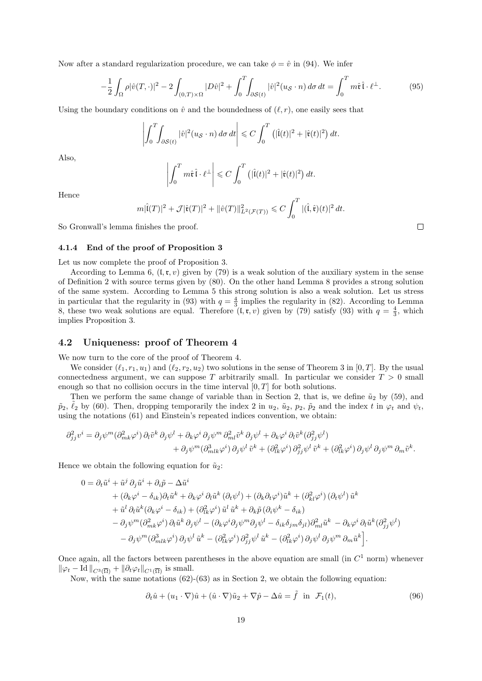Now after a standard regularization procedure, we can take  $\phi = \hat{v}$  in (94). We infer

$$
-\frac{1}{2}\int_{\Omega}\rho|\hat{v}(T,\cdot)|^2-2\int_{(0,T)\times\Omega}|D\hat{v}|^2+\int_0^T\!\!\int_{\partial\mathcal{S}(t)}|\hat{v}|^2(u_{\mathcal{S}}\cdot n)\,d\sigma\,dt=\int_0^T m\hat{\mathfrak{t}}\hat{\mathfrak{l}}\cdot\ell^\perp.
$$
 (95)

Using the boundary conditions on  $\hat{v}$  and the boundedness of  $(\ell, r)$ , one easily sees that

$$
\left| \int_0^T \int_{\partial \mathcal{S}(t)} |\hat{v}|^2 (u_{\mathcal{S}} \cdot n) d\sigma dt \right| \leqslant C \int_0^T \left( |\hat{\mathfrak{l}}(t)|^2 + |\hat{\mathfrak{r}}(t)|^2 \right) dt.
$$

Also,

$$
\left| \int_0^T m \hat{\mathbf{t}} \cdot \ell^\perp \right| \leqslant C \int_0^T \left( |\hat{\mathbf{l}}(t)|^2 + |\hat{\mathbf{t}}(t)|^2 \right) dt.
$$

Hence

$$
m|\hat{\mathfrak{l}}(T)|^2 + \mathcal{J}|\hat{\mathfrak{r}}(T)|^2 + ||\hat{v}(T)||^2_{L^2(\mathcal{F}(T))} \leq C \int_0^T |(\hat{\mathfrak{l}}, \hat{\mathfrak{r}})(t)|^2 dt.
$$

So Gronwall's lemma finishes the proof.

#### 4.1.4 End of the proof of Proposition 3

Let us now complete the proof of Proposition 3.

According to Lemma 6,  $(I, \mathfrak{r}, v)$  given by (79) is a weak solution of the auxiliary system in the sense of Definition 2 with source terms given by (80). On the other hand Lemma 8 provides a strong solution of the same system. According to Lemma 5 this strong solution is also a weak solution. Let us stress in particular that the regularity in (93) with  $q = \frac{4}{3}$  implies the regularity in (82). According to Lemma 8, these two weak solutions are equal. Therefore  $(1, r, v)$  given by (79) satisfy (93) with  $q = \frac{4}{3}$ , which implies Proposition 3.

## 4.2 Uniqueness: proof of Theorem 4

We now turn to the core of the proof of Theorem 4.

We consider  $(\ell_1, r_1, u_1)$  and  $(\ell_2, r_2, u_2)$  two solutions in the sense of Theorem 3 in [0, T]. By the usual connectedness argument, we can suppose T arbitrarily small. In particular we consider  $T > 0$  small enough so that no collision occurs in the time interval  $[0, T]$  for both solutions.

Then we perform the same change of variable than in Section 2, that is, we define  $\tilde{u}_2$  by (59), and  $\tilde{p}_2$ ,  $\tilde{\ell}_2$  by (60). Then, dropping temporarily the index 2 in  $u_2$ ,  $\tilde{u}_2$ ,  $p_2$ ,  $\tilde{p}_2$  and the index t in  $\varphi_t$  and  $\psi_t$ , using the notations (61) and Einstein's repeated indices convention, we obtain:

$$
\partial_{jj}^2 v^i = \partial_j \psi^m (\partial_{mk}^2 \varphi^i) \partial_l \tilde{v}^k \partial_j \psi^l + \partial_k \varphi^i \partial_j \psi^m \partial_{ml}^2 \tilde{v}^k \partial_j \psi^l + \partial_k \varphi^i \partial_l \tilde{v}^k (\partial_{jj}^2 \psi^l) + \partial_j \psi^m (\partial_{mlk}^3 \varphi^i) \partial_j \psi^l \tilde{v}^k + (\partial_{lk}^2 \varphi^i) \partial_{jj}^2 \psi^l \tilde{v}^k + (\partial_{lk}^2 \varphi^i) \partial_j \psi^l \partial_j \psi^m \partial_m \tilde{v}^k.
$$

Hence we obtain the following equation for  $\tilde{u}_2$ :

$$
0 = \partial_t \tilde{u}^i + \tilde{u}^j \partial_j \tilde{u}^i + \partial_i \tilde{p} - \Delta \tilde{u}^i
$$
  
+ 
$$
(\partial_k \varphi^i - \delta_{ik}) \partial_t \tilde{u}^k + \partial_k \varphi^i \partial_l \tilde{u}^k (\partial_t \psi^l) + (\partial_k \partial_t \varphi^i) \tilde{u}^k + (\partial_{kl}^2 \varphi^i) (\partial_t \psi^l) \tilde{u}^k
$$
  
+ 
$$
\tilde{u}^l \partial_l \tilde{u}^k (\partial_k \varphi^i - \delta_{ik}) + (\partial_{lk}^2 \varphi^i) \tilde{u}^l \tilde{u}^k + \partial_k \tilde{p} (\partial_i \psi^k - \delta_{ik})
$$
  
- 
$$
\partial_j \psi^m (\partial_{mk}^2 \varphi^i) \partial_l \tilde{u}^k \partial_j \psi^l - (\partial_k \varphi^i \partial_j \psi^m \partial_j \psi^l - \delta_{ik} \delta_{jm} \delta_{jl}) \partial_{ml}^2 \tilde{u}^k - \partial_k \varphi^i \partial_l \tilde{u}^k (\partial_{jj}^2 \psi^l)
$$
  
- 
$$
\partial_j \psi^m (\partial_{mlk}^3 \varphi^i) \partial_j \psi^l \tilde{u}^k - (\partial_{lk}^2 \varphi^i) \partial_{jj}^2 \psi^l \tilde{u}^k - (\partial_{lk}^2 \varphi^i) \partial_j \psi^l \partial_j \psi^m \partial_m \tilde{u}^k
$$

Once again, all the factors between parentheses in the above equation are small (in  $C<sup>1</sup>$  norm) whenever  $\|\varphi_t - \text{Id}\|_{C^3(\overline{\Omega})} + \|\partial_t \varphi_t\|_{C^1(\overline{\Omega})}$  is small.

Now, with the same notations (62)-(63) as in Section 2, we obtain the following equation:

$$
\partial_t \hat{u} + (u_1 \cdot \nabla)\hat{u} + (\hat{u} \cdot \nabla)\tilde{u}_2 + \nabla \hat{p} - \Delta \hat{u} = \tilde{f} \text{ in } \mathcal{F}_1(t), \tag{96}
$$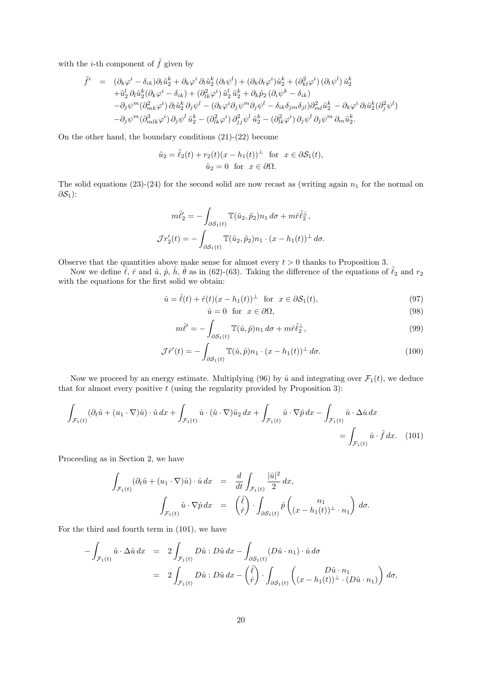with the *i*-th component of  $\tilde{f}$  given by

$$
\begin{split}\n\tilde{f}^i &= (\partial_k \varphi^i - \delta_{ik}) \partial_t \tilde{u}_2^k + \partial_k \varphi^i \partial_l \tilde{u}_2^k (\partial_t \psi^l) + (\partial_k \partial_t \varphi^i) \tilde{u}_2^k + (\partial_{kl}^2 \varphi^i) (\partial_t \psi^l) \tilde{u}_2^k \\
&+ \tilde{u}_2^l \partial_l \tilde{u}_2^k (\partial_k \varphi^i - \delta_{ik}) + (\partial_{lk}^2 \varphi^i) \tilde{u}_2^l \tilde{u}_2^k + \partial_k \tilde{p}_2 (\partial_i \psi^k - \delta_{ik}) \\
&- \partial_j \psi^m (\partial_{mk}^2 \varphi^i) \partial_l \tilde{u}_2^k \partial_j \psi^l - (\partial_k \varphi^i \partial_j \psi^m \partial_j \psi^l - \delta_{ik} \delta_{jm} \delta_{jl}) \partial_{ml}^2 \tilde{u}_2^k - \partial_k \varphi^i \partial_l \tilde{u}_2^k (\partial_j^2 \psi^l) \\
&- \partial_j \psi^m (\partial_{mlk}^3 \varphi^i) \partial_j \psi^l \tilde{u}_2^k - (\partial_{lk}^2 \varphi^i) \partial_{jj}^2 \psi^l \tilde{u}_2^k - (\partial_{lk}^2 \varphi^i) \partial_j \psi^l \partial_j \psi^m \partial_m \tilde{u}_2^k.\n\end{split}
$$

On the other hand, the boundary conditions (21)-(22) become

$$
\tilde{u}_2 = \tilde{\ell}_2(t) + r_2(t)(x - h_1(t))^\perp \text{ for } x \in \partial S_1(t),
$$
  

$$
\tilde{u}_2 = 0 \text{ for } x \in \partial \Omega.
$$

The solid equations  $(23)-(24)$  for the second solid are now recast as (writing again  $n_1$  for the normal on  $\partial S_1$ ):

$$
m\tilde{\ell}'_2 = -\int_{\partial S_1(t)} \mathbb{T}(\tilde{u}_2, \tilde{p}_2) n_1 d\sigma + m\hat{r} \tilde{\ell}_2^{\perp},
$$

$$
\mathcal{J}r'_2(t) = -\int_{\partial S_1(t)} \mathbb{T}(\tilde{u}_2, \tilde{p}_2) n_1 \cdot (x - h_1(t))^{\perp} d\sigma.
$$

Observe that the quantities above make sense for almost every  $t > 0$  thanks to Proposition 3.

Now we define  $\hat{\ell}$ ,  $\hat{r}$  and  $\hat{u}$ ,  $\hat{p}$ ,  $\hat{h}$ ,  $\hat{\theta}$  as in (62)-(63). Taking the difference of the equations of  $\tilde{\ell}_2$  and  $r_2$ with the equations for the first solid we obtain:

$$
\hat{u} = \hat{\ell}(t) + \hat{r}(t)(x - h_1(t))^\perp \quad \text{for} \quad x \in \partial S_1(t),\tag{97}
$$

$$
\hat{u} = 0 \quad \text{for} \quad x \in \partial \Omega,\tag{98}
$$

$$
m\hat{\ell}' = -\int_{\partial S_1(t)} \mathbb{T}(\hat{u}, \hat{p}) n_1 d\sigma + m\hat{r}\tilde{\ell}_2^{\perp},\tag{99}
$$

$$
\mathcal{J}\hat{r}'(t) = -\int_{\partial \mathcal{S}_1(t)} \mathbb{T}(\hat{u}, \hat{p}) n_1 \cdot (x - h_1(t))^{\perp} d\sigma.
$$
 (100)

Now we proceed by an energy estimate. Multiplying (96) by  $\hat{u}$  and integrating over  $\mathcal{F}_1(t)$ , we deduce that for almost every positive  $t$  (using the regularity provided by Proposition 3):

$$
\int_{\mathcal{F}_1(t)} (\partial_t \hat{u} + (u_1 \cdot \nabla) \hat{u}) \cdot \hat{u} \, dx + \int_{\mathcal{F}_1(t)} \hat{u} \cdot (\hat{u} \cdot \nabla) \tilde{u}_2 \, dx + \int_{\mathcal{F}_1(t)} \hat{u} \cdot \nabla \hat{p} \, dx - \int_{\mathcal{F}_1(t)} \hat{u} \cdot \Delta \hat{u} \, dx
$$
\n
$$
= \int_{\mathcal{F}_1(t)} \hat{u} \cdot \tilde{f} \, dx. \tag{101}
$$

Proceeding as in Section 2, we have

$$
\int_{\mathcal{F}_1(t)} (\partial_t \hat{u} + (u_1 \cdot \nabla) \hat{u}) \cdot \hat{u} \, dx = \frac{d}{dt} \int_{\mathcal{F}_1(t)} \frac{|\hat{u}|^2}{2} \, dx,
$$
\n
$$
\int_{\mathcal{F}_1(t)} \hat{u} \cdot \nabla \hat{p} \, dx = \left(\frac{\hat{\ell}}{\hat{r}}\right) \cdot \int_{\partial S_1(t)} \hat{p} \left((x - h_1(t))^{\perp} \cdot n_1\right) \, d\sigma.
$$

For the third and fourth term in (101), we have

$$
-\int_{\mathcal{F}_1(t)} \hat{u} \cdot \Delta \hat{u} dx = 2 \int_{\mathcal{F}_1(t)} D\hat{u} : D\hat{u} dx - \int_{\partial \mathcal{S}_1(t)} (D\hat{u} \cdot n_1) \cdot \hat{u} d\sigma
$$
  

$$
= 2 \int_{\mathcal{F}_1(t)} D\hat{u} : D\hat{u} dx - \left(\frac{\hat{\ell}}{r}\right) \cdot \int_{\partial \mathcal{S}_1(t)} \left( (x - h_1(t))^{\perp} \cdot (D\hat{u} \cdot n_1) \right) d\sigma,
$$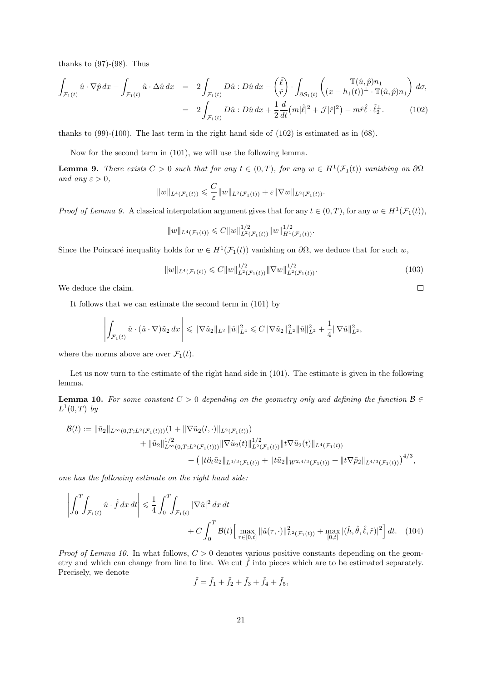thanks to  $(97)-(98)$ . Thus

$$
\int_{\mathcal{F}_1(t)} \hat{u} \cdot \nabla \hat{p} dx - \int_{\mathcal{F}_1(t)} \hat{u} \cdot \Delta \hat{u} dx = 2 \int_{\mathcal{F}_1(t)} D\hat{u} : D\hat{u} dx - \begin{pmatrix} \hat{\ell} \\ \hat{r} \end{pmatrix} \cdot \int_{\partial S_1(t)} \begin{pmatrix} \mathbb{T}(\hat{u}, \hat{p}) n_1 \\ (x - h_1(t))^{\perp} \cdot \mathbb{T}(\hat{u}, \hat{p}) n_1 \end{pmatrix} d\sigma,
$$
  

$$
= 2 \int_{\mathcal{F}_1(t)} D\hat{u} : D\hat{u} dx + \frac{1}{2} \frac{d}{dt} (m|\hat{\ell}|^2 + \mathcal{J}|\hat{r}|^2) - m\hat{r}\hat{\ell} \cdot \tilde{\ell}_2^{\perp}.
$$
 (102)

thanks to  $(99)-(100)$ . The last term in the right hand side of  $(102)$  is estimated as in  $(68)$ .

Now for the second term in (101), we will use the following lemma.

**Lemma 9.** There exists  $C > 0$  such that for any  $t \in (0,T)$ , for any  $w \in H^1(\mathcal{F}_1(t))$  vanishing on  $\partial\Omega$ and any  $\varepsilon > 0$ ,

$$
||w||_{L^4(\mathcal{F}_1(t))} \leqslant \frac{C}{\varepsilon} ||w||_{L^2(\mathcal{F}_1(t))} + \varepsilon ||\nabla w||_{L^2(\mathcal{F}_1(t))}.
$$

*Proof of Lemma 9.* A classical interpolation argument gives that for any  $t \in (0, T)$ , for any  $w \in H^1(\mathcal{F}_1(t))$ ,

$$
||w||_{L^4(\mathcal{F}_1(t))} \leq C||w||_{L^2(\mathcal{F}_1(t))}^{1/2}||w||_{H^1(\mathcal{F}_1(t))}^{1/2}.
$$

Since the Poincaré inequality holds for  $w \in H^1(\mathcal{F}_1(t))$  vanishing on  $\partial\Omega$ , we deduce that for such w,

$$
||w||_{L^{4}(\mathcal{F}_{1}(t))} \leq C||w||_{L^{2}(\mathcal{F}_{1}(t))}^{1/2}||\nabla w||_{L^{2}(\mathcal{F}_{1}(t))}^{1/2}.
$$
\n(103)

We deduce the claim.

It follows that we can estimate the second term in (101) by

$$
\left| \int_{\mathcal{F}_1(t)} \hat{u} \cdot (\hat{u} \cdot \nabla) \tilde{u}_2 \, dx \right| \leq \|\nabla \tilde{u}_2\|_{L^2} \, \|\hat{u}\|_{L^4}^2 \leq C \|\nabla \tilde{u}_2\|_{L^2}^2 \|\hat{u}\|_{L^2}^2 + \frac{1}{4} \|\nabla \hat{u}\|_{L^2}^2,
$$

where the norms above are over  $\mathcal{F}_1(t)$ .

Let us now turn to the estimate of the right hand side in (101). The estimate is given in the following lemma.

**Lemma 10.** For some constant  $C > 0$  depending on the geometry only and defining the function  $\mathcal{B} \in$  $L^1(0,T)$  by

$$
\mathcal{B}(t) := \|\tilde{u}_2\|_{L^{\infty}(0,T;L^2(\mathcal{F}_1(t)))} (1 + \|\nabla \tilde{u}_2(t,\cdot)\|_{L^2(\mathcal{F}_1(t))})
$$
  
+ 
$$
\|\tilde{u}_2\|_{L^{\infty}(0,T;L^2(\mathcal{F}_1(t)))}^{1/2} \|\nabla \tilde{u}_2(t)\|_{L^2(\mathcal{F}_1(t))}^{1/2} \|t \nabla \tilde{u}_2(t)\|_{L^4(\mathcal{F}_1(t))}
$$
  
+ 
$$
(\|t \partial_t \tilde{u}_2\|_{L^{4/3}(\mathcal{F}_1(t))} + \|t \tilde{u}_2\|_{W^{2,4/3}(\mathcal{F}_1(t))} + \|t \nabla \tilde{p}_2\|_{L^{4/3}(\mathcal{F}_1(t))})^{4/3},
$$

one has the following estimate on the right hand side:

$$
\left| \int_{0}^{T} \int_{\mathcal{F}_{1}(t)} \hat{u} \cdot \tilde{f} \, dx \, dt \right| \leq \frac{1}{4} \int_{0}^{T} \int_{\mathcal{F}_{1}(t)} |\nabla \hat{u}|^{2} \, dx \, dt + C \int_{0}^{T} \mathcal{B}(t) \Big[ \max_{\tau \in [0,t]} \|\hat{u}(\tau,\cdot)\|_{L^{2}(\mathcal{F}_{1}(t))}^{2} + \max_{[0,t]} |(\hat{h}, \hat{\theta}, \hat{\ell}, \hat{r})|^{2} \Big] \, dt. \tag{104}
$$

*Proof of Lemma 10.* In what follows,  $C > 0$  denotes various positive constants depending on the geometry and which can change from line to line. We cut  $\tilde{f}$  into pieces which are to be estimated separately. Precisely, we denote

$$
\tilde{f} = \tilde{f}_1 + \tilde{f}_2 + \tilde{f}_3 + \tilde{f}_4 + \tilde{f}_5,
$$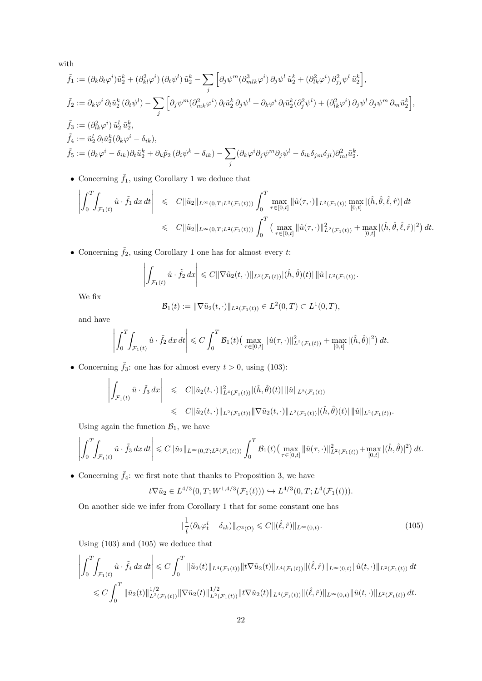with

$$
\tilde{f}_1 := (\partial_k \partial_t \varphi^i) \tilde{u}_2^k + (\partial_{kl}^2 \varphi^i) (\partial_t \psi^l) \tilde{u}_2^k - \sum_j \left[ \partial_j \psi^m (\partial_{mlk}^3 \varphi^i) \partial_j \psi^l \tilde{u}_2^k + (\partial_{lk}^2 \varphi^i) \partial_{jj}^2 \psi^l \tilde{u}_2^k \right],
$$
\n
$$
\tilde{f}_2 := \partial_k \varphi^i \partial_l \tilde{u}_2^k (\partial_t \psi^l) - \sum_j \left[ \partial_j \psi^m (\partial_{mk}^2 \varphi^i) \partial_l \tilde{u}_2^k \partial_j \psi^l + \partial_k \varphi^i \partial_l \tilde{u}_2^k (\partial_j^2 \psi^l) + (\partial_{lk}^2 \varphi^i) \partial_j \psi^l \partial_j \psi^m \partial_m \tilde{u}_2^k \right],
$$
\n
$$
\tilde{f}_3 := (\partial_{lk}^2 \varphi^i) \tilde{u}_2^l \tilde{u}_2^k,
$$
\n
$$
\tilde{f}_4 := \tilde{u}_2^l \partial_l \tilde{u}_2^k (\partial_k \varphi^i - \delta_{ik}),
$$
\n
$$
\tilde{f}_5 := (\partial_k \varphi^i - \delta_{ik}) \partial_t \tilde{u}_2^k + \partial_k \tilde{p}_2 (\partial_i \psi^k - \delta_{ik}) - \sum_j (\partial_k \varphi^i \partial_j \psi^m \partial_j \psi^l - \delta_{ik} \delta_{jm} \delta_{jl}) \partial_{ml}^2 \tilde{u}_2^k.
$$

 $\bullet\,$  Concerning  $\tilde f_1,$  using Corollary 1 we deduce that

$$
\left| \int_0^T \int_{\mathcal{F}_1(t)} \hat{u} \cdot \tilde{f}_1 dx dt \right| \leq C \|\tilde{u}_2\|_{L^{\infty}(0,T;L^2(\mathcal{F}_1(t)))} \int_0^T \max_{\tau \in [0,t]} \|\hat{u}(\tau,\cdot)\|_{L^2(\mathcal{F}_1(t))} \max_{[0,t]} |(\hat{h},\hat{\theta},\hat{\ell},\hat{r})| dt
$$
  

$$
\leq C \|\tilde{u}_2\|_{L^{\infty}(0,T;L^2(\mathcal{F}_1(t)))} \int_0^T \left( \max_{\tau \in [0,t]} \|\hat{u}(\tau,\cdot)\|_{L^2(\mathcal{F}_1(t))}^2 + \max_{[0,t]} |(\hat{h},\hat{\theta},\hat{\ell},\hat{r})|^2 \right) dt.
$$

 $\bullet$  Concerning  $\tilde{f}_2,$  using Corollary 1 one has for almost every  $t:$ 

$$
\left| \int_{\mathcal{F}_1(t)} \hat{u} \cdot \tilde{f}_2 dx \right| \leq C \|\nabla \tilde{u}_2(t,\cdot)\|_{L^2(\mathcal{F}_1(t))} |(\hat{h},\hat{\theta})(t)| \|\hat{u}\|_{L^2(\mathcal{F}_1(t))}.
$$

We fix

$$
\mathcal{B}_1(t) := \|\nabla \tilde{u}_2(t, \cdot)\|_{L^2(\mathcal{F}_1(t))} \in L^2(0, T) \subset L^1(0, T),
$$

and have

$$
\left|\int_0^T\!\!\int_{\mathcal{F}_1(t)}\hat{u}\cdot\tilde{f}_2\,dx\,dt\right|\leqslant C\int_0^T\mathcal{B}_1(t)\big(\max_{\tau\in[0,t]}\|\hat{u}(\tau,\cdot)\|^2_{L^2(\mathcal{F}_1(t))}+\max_{[0,t]}|(\hat{h},\hat{\theta})|^2\big)\,dt.
$$

• Concerning  $\tilde{f}_3$ : one has for almost every  $t > 0$ , using (103):

$$
\left| \int_{\mathcal{F}_1(t)} \hat{u} \cdot \tilde{f}_3 \, dx \right| \leq C \| \tilde{u}_2(t, \cdot) \|_{L^4(\mathcal{F}_1(t))}^2 |(\hat{h}, \hat{\theta})(t)| \| \hat{u} \|_{L^2(\mathcal{F}_1(t))}
$$
  

$$
\leq C \| \tilde{u}_2(t, \cdot) \|_{L^2(\mathcal{F}_1(t))} \| \nabla \tilde{u}_2(t, \cdot) \|_{L^2(\mathcal{F}_1(t))} |(\hat{h}, \hat{\theta})(t)| \| \hat{u} \|_{L^2(\mathcal{F}_1(t))}.
$$

Using again the function  $\mathcal{B}_1$ , we have

$$
\left| \int_0^T \int_{\mathcal{F}_1(t)} \hat{u} \cdot \tilde{f}_3 \, dx \, dt \right| \leq C \|\tilde{u}_2\|_{L^{\infty}(0,T;L^2(\mathcal{F}_1(t)))} \int_0^T \mathcal{B}_1(t) \big( \max_{\tau \in [0,t]} \|\hat{u}(\tau,\cdot)\|_{L^2(\mathcal{F}_1(t))}^2 + \max_{[0,t]} |(\hat{h},\hat{\theta})|^2 \big) \, dt.
$$

• Concerning  $\tilde{f}_4$ : we first note that thanks to Proposition 3, we have

$$
t\nabla \tilde{u}_2 \in L^{4/3}(0,T;W^{1,4/3}(\mathcal{F}_1(t))) \hookrightarrow L^{4/3}(0,T;L^4(\mathcal{F}_1(t))).
$$

On another side we infer from Corollary 1 that for some constant one has

$$
\left\|\frac{1}{t}(\partial_k \varphi_t^i - \delta_{ik})\right\|_{C^3(\overline{\Omega})} \leqslant C \|(\hat{\ell}, \hat{r})\|_{L^\infty(0, t)}.
$$
\n(105)

Using (103) and (105) we deduce that

$$
\left| \int_0^T \int_{\mathcal{F}_1(t)} \hat{u} \cdot \tilde{f}_4 \, dx \, dt \right| \leq C \int_0^T \|\tilde{u}_2(t)\|_{L^4(\mathcal{F}_1(t))} \|t \nabla \tilde{u}_2(t)\|_{L^4(\mathcal{F}_1(t))} \|(\hat{\ell}, \hat{r})\|_{L^{\infty}(0,t)} \|\hat{u}(t, \cdot)\|_{L^2(\mathcal{F}_1(t))} dt
$$
  

$$
\leq C \int_0^T \|\tilde{u}_2(t)\|_{L^2(\mathcal{F}_1(t))}^{1/2} \|\nabla \tilde{u}_2(t)\|_{L^2(\mathcal{F}_1(t))}^{1/2} \|t \nabla \tilde{u}_2(t)\|_{L^4(\mathcal{F}_1(t))} \|(\hat{\ell}, \hat{r})\|_{L^{\infty}(0,t)} \|\hat{u}(t, \cdot)\|_{L^2(\mathcal{F}_1(t))} dt.
$$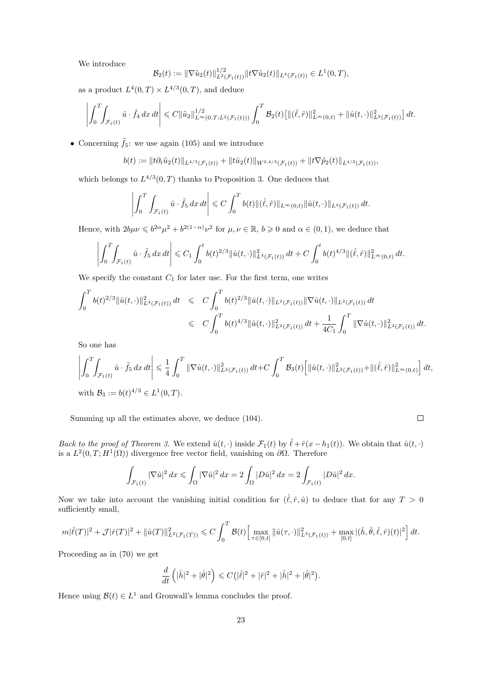We introduce

$$
\mathcal{B}_2(t) := \|\nabla \tilde{u}_2(t)\|_{L^2(\mathcal{F}_1(t))}^{1/2} \|t\nabla \tilde{u}_2(t)\|_{L^4(\mathcal{F}_1(t))} \in L^1(0,T),
$$

as a product  $L^4(0,T) \times L^{4/3}(0,T)$ , and deduce

$$
\left| \int_0^T \int_{\mathcal{F}_1(t)} \hat{u} \cdot \tilde{f}_4 \, dx \, dt \right| \leq C \|\tilde{u}_2\|_{L^{\infty}(0,T;L^2(\mathcal{F}_1(t)))}^{1/2} \int_0^T \mathcal{B}_2(t) \big[ \|(\hat{\ell},\hat{r})\|_{L^{\infty}(0,t)}^2 + \|\hat{u}(t,\cdot)\|_{L^2(\mathcal{F}_1(t))}^2 \big] \, dt.
$$

• Concerning  $\tilde{f}_5$ : we use again (105) and we introduce

$$
b(t) := \|t\partial_t \tilde{u}_2(t)\|_{L^{4/3}(\mathcal{F}_1(t))} + \|t\tilde{u}_2(t)\|_{W^{2,4/3}(\mathcal{F}_1(t))} + \|t\nabla \tilde{p}_2(t)\|_{L^{4/3}(\mathcal{F}_1(t))},
$$

which belongs to  $L^{4/3}(0,T)$  thanks to Proposition 3. One deduces that

$$
\left| \int_0^T \int_{\mathcal{F}_1(t)} \hat{u} \cdot \tilde{f}_5 \, dx \, dt \right| \leq C \int_0^T b(t) \|(\hat{\ell}, \hat{r})\|_{L^{\infty}(0,t)} \|\hat{u}(t, \cdot)\|_{L^4(\mathcal{F}_1(t))} \, dt.
$$

Hence, with  $2b\mu\nu \leq b^{2\alpha}\mu^2 + b^{2(1-\alpha)}\nu^2$  for  $\mu, \nu \in \mathbb{R}$ ,  $b \geq 0$  and  $\alpha \in (0,1)$ , we deduce that

$$
\left| \int_0^T \int_{\mathcal{F}_1(t)} \hat{u} \cdot \tilde{f}_5 \, dx \, dt \right| \leq C_1 \int_0^t b(t)^{2/3} \|\hat{u}(t,\cdot)\|_{L^4(\mathcal{F}_1(t))}^2 \, dt + C \int_0^t b(t)^{4/3} \|(\hat{\ell}, \hat{r})\|_{L^\infty(0,t)}^2 \, dt.
$$

We specify the constant  $C_1$  for later use. For the first term, one writes

$$
\int_0^T b(t)^{2/3} \|\hat{u}(t,\cdot)\|_{L^4(\mathcal{F}_1(t))}^2 dt \leq C \int_0^T b(t)^{2/3} \|\hat{u}(t,\cdot)\|_{L^2(\mathcal{F}_1(t))} \|\nabla \hat{u}(t,\cdot)\|_{L^2(\mathcal{F}_1(t))} dt
$$
  

$$
\leq C \int_0^T b(t)^{4/3} \|\hat{u}(t,\cdot)\|_{L^2(\mathcal{F}_1(t))}^2 dt + \frac{1}{4C_1} \int_0^T \|\nabla \hat{u}(t,\cdot)\|_{L^2(\mathcal{F}_1(t))}^2 dt.
$$

So one has

$$
\left| \int_0^T \int_{\mathcal{F}_1(t)} \hat{u} \cdot \tilde{f}_5 \, dx \, dt \right| \leq \frac{1}{4} \int_0^T \|\nabla \hat{u}(t, \cdot)\|_{L^2(\mathcal{F}_1(t))}^2 \, dt + C \int_0^T \mathcal{B}_3(t) \Big[ \|\hat{u}(t, \cdot)\|_{L^2(\mathcal{F}_1(t))}^2 + \|(\hat{\ell}, \hat{r})\|_{L^{\infty}(0,t)}^2 \Big] \, dt,
$$
  
with  $\mathcal{B}_3 := b(t)^{4/3} \in L^1(0, T).$ 

 $\Box$ 

Summing up all the estimates above, we deduce (104).

Back to the proof of Theorem 3. We extend  $\hat{u}(t, \cdot)$  inside  $\mathcal{F}_1(t)$  by  $\hat{\ell} + \hat{r}(x - h_1(t))$ . We obtain that  $\hat{u}(t, \cdot)$ is a  $L^2(0,T;H^1(\Omega))$  divergence free vector field, vanishing on  $\partial\Omega$ . Therefore

$$
\int_{\mathcal{F}_1(t)} |\nabla \hat{u}|^2 dx \leq \int_{\Omega} |\nabla \hat{u}|^2 dx = 2 \int_{\Omega} |D\hat{u}|^2 dx = 2 \int_{\mathcal{F}_1(t)} |D\hat{u}|^2 dx.
$$

Now we take into account the vanishing initial condition for  $(\hat{\ell}, \hat{r}, \hat{u})$  to deduce that for any  $T > 0$ sufficiently small,

$$
m|\hat{\ell}(T)|^2 + \mathcal{J}|\hat{r}(T)|^2 + ||\hat{u}(T)||^2_{L^2(\mathcal{F}_1(T))} \leq C \int_0^T \mathcal{B}(t) \Big[ \max_{\tau \in [0,t]} ||\hat{u}(\tau,\cdot)||^2_{L^2(\mathcal{F}_1(t))} + \max_{[0,t]} |(\hat{h},\hat{\theta},\hat{\ell},\hat{r})(t)|^2 \Big] dt.
$$

Proceeding as in (70) we get

$$
\frac{d}{dt}\left(|\hat{h}|^2+|\hat{\theta}|^2\right)\leqslant C\big(|\hat{\ell}|^2+|\hat{r}|^2+|\hat{h}|^2+|\hat{\theta}|^2\big).
$$

Hence using  $\mathcal{B}(t) \in L^1$  and Gronwall's lemma concludes the proof.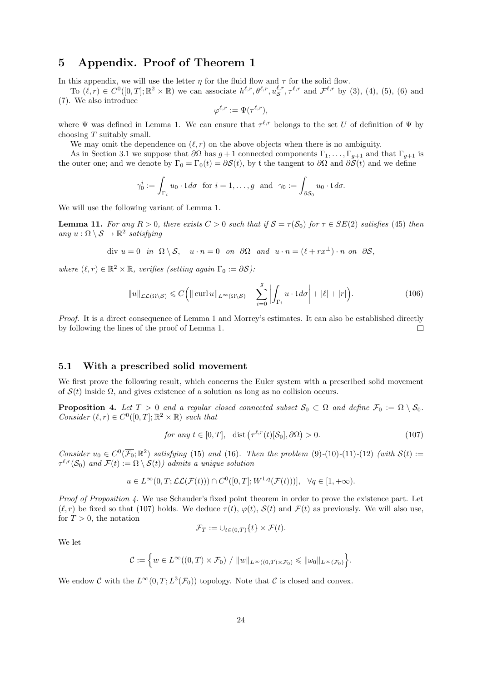## 5 Appendix. Proof of Theorem 1

In this appendix, we will use the letter  $\eta$  for the fluid flow and  $\tau$  for the solid flow.

To  $(\ell, r) \in C^0([0,T]; \mathbb{R}^2 \times \mathbb{R})$  we can associate  $h^{\ell,r}, \theta^{\ell,r}, u^{\ell,r}_\mathcal{S}, \tau^{\ell,r}$  and  $\mathcal{F}^{\ell,r}$  by (3), (4), (5), (6) and (7). We also introduce

$$
\varphi^{\ell,r} := \Psi(\tau^{\ell,r}),
$$

where  $\Psi$  was defined in Lemma 1. We can ensure that  $\tau^{\ell,r}$  belongs to the set U of definition of  $\Psi$  by choosing T suitably small.

We may omit the dependence on  $(\ell, r)$  on the above objects when there is no ambiguity.

As in Section 3.1 we suppose that  $\partial\Omega$  has  $g+1$  connected components  $\Gamma_1, \ldots, \Gamma_{g+1}$  and that  $\Gamma_{g+1}$  is the outer one; and we denote by  $\Gamma_0 = \Gamma_0(t) = \partial S(t)$ , by t the tangent to  $\partial \Omega$  and  $\partial S(t)$  and we define

$$
\gamma_0^i := \int_{\Gamma_i} u_0 \cdot \mathfrak{t} \, d\sigma \quad \text{for } i = 1, \dots, g \quad \text{and} \quad \gamma_0 := \int_{\partial \mathcal{S}_0} u_0 \cdot \mathfrak{t} \, d\sigma.
$$

We will use the following variant of Lemma 1.

**Lemma 11.** For any  $R > 0$ , there exists  $C > 0$  such that if  $S = \tau(S_0)$  for  $\tau \in SE(2)$  satisfies (45) then any  $u : \Omega \setminus \mathcal{S} \to \mathbb{R}^2$  satisfying

div 
$$
u = 0
$$
 in  $\Omega \setminus S$ ,  $u \cdot n = 0$  on  $\partial \Omega$  and  $u \cdot n = (\ell + rx^{\perp}) \cdot n$  on  $\partial S$ ,

where  $(\ell, r) \in \mathbb{R}^2 \times \mathbb{R}$ , verifies (setting again  $\Gamma_0 := \partial \mathcal{S}$ ):

$$
||u||_{\mathcal{LL}(\Omega\setminus\mathcal{S})} \leqslant C\Big(||\operatorname{curl} u||_{L^{\infty}(\Omega\setminus\mathcal{S})} + \sum_{i=0}^{g} \left| \int_{\Gamma_i} u \cdot \mathfrak{t} \, d\sigma \right| + |\ell| + |r| \Big). \tag{106}
$$

Proof. It is a direct consequence of Lemma 1 and Morrey's estimates. It can also be established directly by following the lines of the proof of Lemma 1.  $\Box$ 

## 5.1 With a prescribed solid movement

We first prove the following result, which concerns the Euler system with a prescribed solid movement of  $S(t)$  inside  $\Omega$ , and gives existence of a solution as long as no collision occurs.

**Proposition 4.** Let  $T > 0$  and a regular closed connected subset  $S_0 \subset \Omega$  and define  $\mathcal{F}_0 := \Omega \setminus \mathcal{S}_0$ . Consider  $(\ell, r) \in C^0([0, T]; \mathbb{R}^2 \times \mathbb{R})$  such that

$$
for any t \in [0, T], \quad \text{dist}\left(\tau^{\ell, r}(t)[\mathcal{S}_0], \partial \Omega\right) > 0. \tag{107}
$$

Consider  $u_0 \in C^0(\overline{\mathcal{F}_0};\mathbb{R}^2)$  satisfying (15) and (16). Then the problem (9)-(10)-(11)-(12) (with  $\mathcal{S}(t) :=$  $\tau^{\ell,r}(\mathcal{S}_0)$  and  $\mathcal{F}(t) := \Omega \setminus \mathcal{S}(t)$  admits a unique solution

$$
u \in L^{\infty}(0,T; \mathcal{LL}(\mathcal{F}(t))) \cap C^{0}([0,T];W^{1,q}(\mathcal{F}(t)))], \quad \forall q \in [1,+\infty).
$$

Proof of Proposition 4. We use Schauder's fixed point theorem in order to prove the existence part. Let  $(\ell, r)$  be fixed so that (107) holds. We deduce  $\tau(t), \varphi(t), \mathcal{S}(t)$  and  $\mathcal{F}(t)$  as previously. We will also use, for  $T > 0$ , the notation

$$
\mathcal{F}_T := \bigcup_{t \in (0,T)} \{t\} \times \mathcal{F}(t).
$$

We let

$$
\mathcal{C} := \Big\{ w \in L^{\infty}((0,T) \times \mathcal{F}_0) / ||w||_{L^{\infty}((0,T) \times \mathcal{F}_0)} \leq ||\omega_0||_{L^{\infty}(\mathcal{F}_0)} \Big\}.
$$

We endow C with the  $L^{\infty}(0,T; L^{3}(\mathcal{F}_{0}))$  topology. Note that C is closed and convex.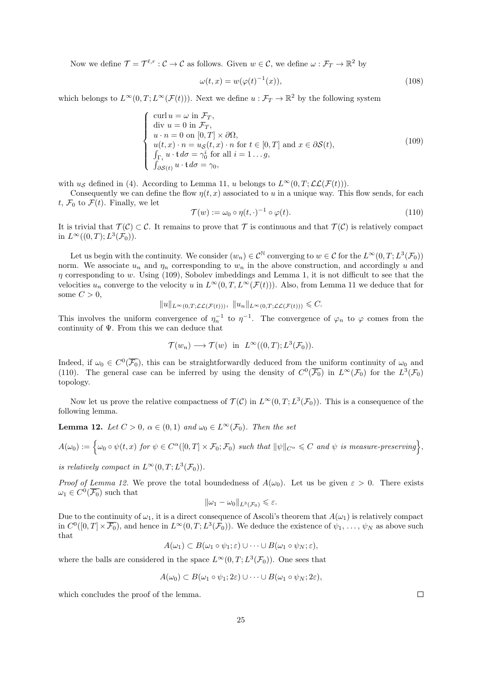Now we define  $\mathcal{T} = \mathcal{T}^{\ell,r} : \mathcal{C} \to \mathcal{C}$  as follows. Given  $w \in \mathcal{C}$ , we define  $\omega : \mathcal{F}_T \to \mathbb{R}^2$  by

$$
\omega(t, x) = w(\varphi(t)^{-1}(x)),\tag{108}
$$

which belongs to  $L^{\infty}(0,T; L^{\infty}(\mathcal{F}(t)))$ . Next we define  $u : \mathcal{F}_T \to \mathbb{R}^2$  by the following system

$$
\begin{cases}\n\text{curl } u = \omega \text{ in } \mathcal{F}_T, \\
\text{div } u = 0 \text{ in } \mathcal{F}_T, \\
u \cdot n = 0 \text{ on } [0, T] \times \partial \Omega, \\
u(t, x) \cdot n = u_S(t, x) \cdot n \text{ for } t \in [0, T] \text{ and } x \in \partial S(t), \\
\int_{\Gamma_i} u \cdot \mathbf{t} d\sigma = \gamma_0^i \text{ for all } i = 1 \dots g, \\
\int_{\partial S(t)} u \cdot \mathbf{t} d\sigma = \gamma_0,\n\end{cases} \tag{109}
$$

with  $u<sub>S</sub>$  defined in (4). According to Lemma 11, u belongs to  $L^{\infty}(0,T;\mathcal{LL}(\mathcal{F}(t)))$ .

Consequently we can define the flow  $\eta(t, x)$  associated to u in a unique way. This flow sends, for each t,  $\mathcal{F}_0$  to  $\mathcal{F}(t)$ . Finally, we let

$$
\mathcal{T}(w) := \omega_0 \circ \eta(t, \cdot)^{-1} \circ \varphi(t). \tag{110}
$$

It is trivial that  $\mathcal{T}(\mathcal{C}) \subset \mathcal{C}$ . It remains to prove that T is continuous and that  $\mathcal{T}(\mathcal{C})$  is relatively compact in  $L^{\infty}((0,T); L^{3}(\mathcal{F}_{0})).$ 

Let us begin with the continuity. We consider  $(w_n) \in \mathcal{C}^{\mathbb{N}}$  converging to  $w \in \mathcal{C}$  for the  $L^{\infty}(0,T; L^3(\mathcal{F}_0))$ norm. We associate  $u_n$  and  $\eta_n$  corresponding to  $w_n$  in the above construction, and accordingly u and  $\eta$  corresponding to w. Using (109), Sobolev imbeddings and Lemma 1, it is not difficult to see that the velocities  $u_n$  converge to the velocity u in  $L^{\infty}(0,T,L^{\infty}(\mathcal{F}(t)))$ . Also, from Lemma 11 we deduce that for some  $C > 0$ ,

$$
||u||_{L^{\infty}(0,T;\mathcal{LL}(\mathcal{F}(t)))}, ||u_n||_{L^{\infty}(0,T;\mathcal{LL}(\mathcal{F}(t)))} \leq C.
$$

This involves the uniform convergence of  $\eta_n^{-1}$  to  $\eta^{-1}$ . The convergence of  $\varphi_n$  to  $\varphi$  comes from the continuity of Ψ. From this we can deduce that

$$
\mathcal{T}(w_n) \longrightarrow \mathcal{T}(w) \quad \text{in} \quad L^{\infty}((0,T); L^3(\mathcal{F}_0)).
$$

Indeed, if  $\omega_0 \in C^0(\overline{\mathcal{F}_0})$ , this can be straightforwardly deduced from the uniform continuity of  $\omega_0$  and (110). The general case can be inferred by using the density of  $C^0(\overline{\mathcal{F}_0})$  in  $L^{\infty}(\mathcal{F}_0)$  for the  $L^3(\mathcal{F}_0)$ topology.

Now let us prove the relative compactness of  $\mathcal{T}(\mathcal{C})$  in  $L^{\infty}(0,T;L^{3}(\mathcal{F}_{0}))$ . This is a consequence of the following lemma.

**Lemma 12.** Let  $C > 0$ ,  $\alpha \in (0, 1)$  and  $\omega_0 \in L^{\infty}(\mathcal{F}_0)$ . Then the set

$$
A(\omega_0) := \Big\{\omega_0 \circ \psi(t,x) \text{ for } \psi \in C^{\alpha}([0,T] \times \mathcal{F}_0; \mathcal{F}_0) \text{ such that } ||\psi||_{C^{\alpha}} \leqslant C \text{ and } \psi \text{ is measure-preserving} \Big\},\
$$

is relatively compact in  $L^{\infty}(0,T; L^{3}(\mathcal{F}_{0})).$ 

*Proof of Lemma 12.* We prove the total boundedness of  $A(\omega_0)$ . Let us be given  $\varepsilon > 0$ . There exists  $\omega_1 \in C^0(\overline{\mathcal{F}_0})$  such that

$$
\|\omega_1-\omega_0\|_{L^3(\mathcal{F}_0)}\leqslant \varepsilon.
$$

Due to the continuity of  $\omega_1$ , it is a direct consequence of Ascoli's theorem that  $A(\omega_1)$  is relatively compact in  $C^0([0,T]\times\overline{\mathcal{F}_0})$ , and hence in  $L^{\infty}(0,T;L^3(\mathcal{F}_0))$ . We deduce the existence of  $\psi_1,\ldots,\psi_N$  as above such that

$$
A(\omega_1) \subset B(\omega_1 \circ \psi_1; \varepsilon) \cup \cdots \cup B(\omega_1 \circ \psi_N; \varepsilon),
$$

where the balls are considered in the space  $L^{\infty}(0,T; L^{3}(\mathcal{F}_{0}))$ . One sees that

$$
A(\omega_0) \subset B(\omega_1 \circ \psi_1; 2\varepsilon) \cup \cdots \cup B(\omega_1 \circ \psi_N; 2\varepsilon),
$$

which concludes the proof of the lemma.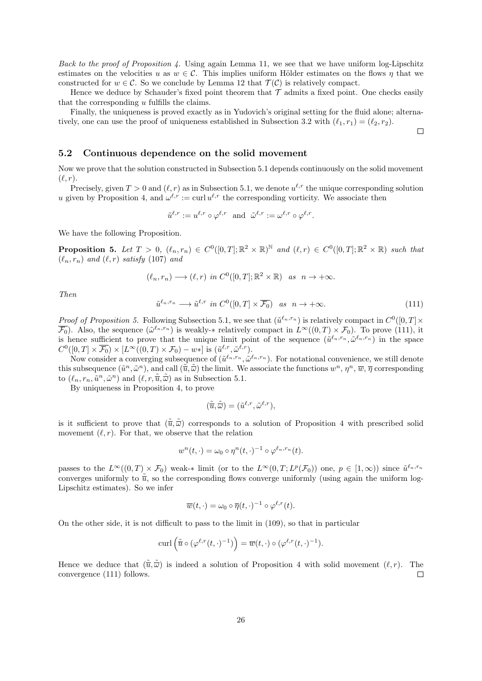Back to the proof of Proposition 4. Using again Lemma 11, we see that we have uniform  $log$ -Lipschitz estimates on the velocities u as  $w \in \mathcal{C}$ . This implies uniform Hölder estimates on the flows  $\eta$  that we constructed for  $w \in \mathcal{C}$ . So we conclude by Lemma 12 that  $\mathcal{T}(\mathcal{C})$  is relatively compact.

Hence we deduce by Schauder's fixed point theorem that  $\mathcal T$  admits a fixed point. One checks easily that the corresponding  $u$  fulfills the claims.

Finally, the uniqueness is proved exactly as in Yudovich's original setting for the fluid alone; alternatively, one can use the proof of uniqueness established in Subsection 3.2 with  $(\ell_1, r_1) = (\ell_2, r_2)$ .

 $\Box$ 

## 5.2 Continuous dependence on the solid movement

Now we prove that the solution constructed in Subsection 5.1 depends continuously on the solid movement  $(\ell, r).$ 

Precisely, given  $T > 0$  and  $(\ell, r)$  as in Subsection 5.1, we denote  $u^{\ell,r}$  the unique corresponding solution u given by Proposition 4, and  $\omega^{\ell,r} := \text{curl } u^{\ell,r}$  the corresponding vorticity. We associate then

$$
\tilde{u}^{\ell,r} := u^{\ell,r} \circ \varphi^{\ell,r} \text{ and } \tilde{\omega}^{\ell,r} := \omega^{\ell,r} \circ \varphi^{\ell,r}.
$$

We have the following Proposition.

**Proposition 5.** Let  $T > 0$ ,  $(\ell_n, r_n) \in C^0([0,T]; \mathbb{R}^2 \times \mathbb{R})^{\mathbb{N}}$  and  $(\ell, r) \in C^0([0,T]; \mathbb{R}^2 \times \mathbb{R})$  such that  $(\ell_n, r_n)$  and  $(\ell, r)$  satisfy (107) and

$$
(\ell_n, r_n) \longrightarrow (\ell, r) \text{ in } C^0([0, T]; \mathbb{R}^2 \times \mathbb{R}) \text{ as } n \to +\infty.
$$

Then

$$
\tilde{u}^{\ell_n, r_n} \longrightarrow \tilde{u}^{\ell, r} \text{ in } C^0([0, T] \times \overline{\mathcal{F}_0}) \text{ as } n \to +\infty. \tag{111}
$$

*Proof of Proposition 5.* Following Subsection 5.1, we see that  $(\tilde{u}^{\ell_n,r_n})$  is relatively compact in  $C^0([0,T] \times$  $\overline{\mathcal{F}_0}$ ). Also, the sequence  $(\tilde{\omega}^{\ell_n,r_n})$  is weakly- $*$  relatively compact in  $L^{\infty}((0,T)\times\mathcal{F}_0)$ . To prove (111), it is hence sufficient to prove that the unique limit point of the sequence  $(\tilde{u}^{\ell_n,r_n}, \tilde{\omega}^{\ell_n,r_n})$  in the space  $C^0([0,T] \times \overline{\mathcal{F}_0}) \times [L^{\infty}((0,T) \times \mathcal{F}_0) - w*]$  is  $(\tilde{u}^{\ell,r}, \tilde{\omega}^{\ell,r}).$ 

Now consider a converging subsequence of  $(\tilde{u}^{\ell_n,r_n}, \tilde{\omega}^{\ell_n,r_n})$ . For notational convenience, we still denote this subsequence  $(\tilde{u}^n, \tilde{\omega}^n)$ , and call  $(\tilde{\overline{u}}, \tilde{\overline{\omega}})$  the limit. We associate the functions  $w^n, \eta^n, \overline{w}, \overline{\eta}$  corresponding to  $(\ell_n, r_n, \tilde{u}^n, \tilde{\omega}^n)$  and  $(\ell, r, \tilde{\overline{u}}, \tilde{\overline{\omega}})$  as in Subsection 5.1.

By uniqueness in Proposition 4, to prove

$$
(\tilde{\overline{u}}, \tilde{\overline{\omega}}) = (\tilde{u}^{\ell,r}, \tilde{\omega}^{\ell,r}),
$$

is it sufficient to prove that  $(\tilde{u}, \tilde{\omega})$  corresponds to a solution of Proposition 4 with prescribed solid movement  $(\ell, r)$ . For that, we observe that the relation

$$
w^{n}(t,\cdot) = \omega_0 \circ \eta^{n}(t,\cdot)^{-1} \circ \varphi^{\ell_n,r_n}(t).
$$

passes to the  $L^{\infty}((0,T) \times \mathcal{F}_0)$  weak-\* limit (or to the  $L^{\infty}(0,T; L^p(\mathcal{F}_0))$  one,  $p \in [1,\infty)$ ) since  $\tilde{u}^{\ell_n,r_n}$ converges uniformly to  $\tilde{\bar{u}}$ , so the corresponding flows converge uniformly (using again the uniform log-Lipschitz estimates). So we infer

$$
\overline{w}(t,\cdot) = \omega_0 \circ \overline{\eta}(t,\cdot)^{-1} \circ \varphi^{\ell,r}(t).
$$

On the other side, it is not difficult to pass to the limit in (109), so that in particular

$$
\operatorname{curl}\left(\tilde{\overline{u}}\circ(\varphi^{\ell,r}(t,\cdot)^{-1})\right)=\overline{w}(t,\cdot)\circ(\varphi^{\ell,r}(t,\cdot)^{-1}).
$$

Hence we deduce that  $(\tilde{u}, \tilde{\omega})$  is indeed a solution of Proposition 4 with solid movement  $(\ell, r)$ . The convergence (111) follows.  $\Box$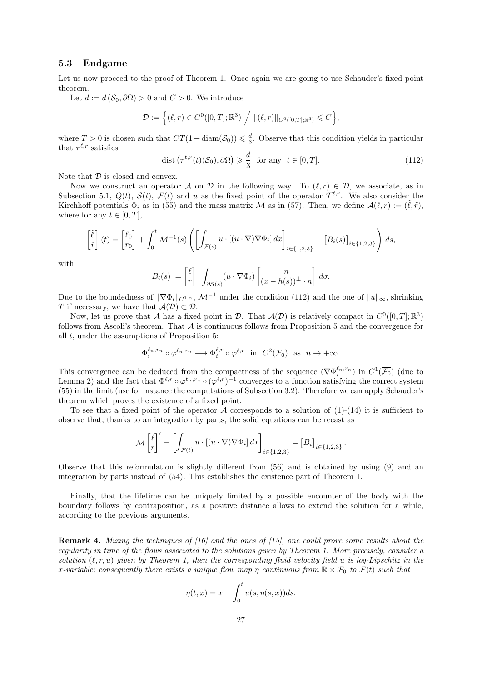## 5.3 Endgame

Let us now proceed to the proof of Theorem 1. Once again we are going to use Schauder's fixed point theorem.

Let  $d := d(\mathcal{S}_0, \partial \Omega) > 0$  and  $C > 0$ . We introduce

$$
\mathcal{D} := \left\{ (\ell, r) \in C^0([0, T]; \mathbb{R}^3) / ||(\ell, r)||_{C^0([0, T]; \mathbb{R}^3)} \leq C \right\},\
$$

where  $T > 0$  is chosen such that  $CT(1 + \text{diam}(\mathcal{S}_0)) \leq \frac{d}{3}$ . Observe that this condition yields in particular that  $\tau^{\ell,r}$  satisfies

$$
\text{dist}\left(\tau^{\ell,r}(t)(\mathcal{S}_0),\partial\Omega\right) \geqslant \frac{d}{3} \quad \text{for any} \quad t \in [0,T].\tag{112}
$$

Note that  $\mathcal D$  is closed and convex.

Now we construct an operator A on D in the following way. To  $(\ell, r) \in \mathcal{D}$ , we associate, as in Subsection 5.1,  $Q(t)$ ,  $S(t)$ ,  $\mathcal{F}(t)$  and u as the fixed point of the operator  $\mathcal{T}^{\ell,r}$ . We also consider the Kirchhoff potentials  $\Phi_i$  as in (55) and the mass matrix M as in (57). Then, we define  $\mathcal{A}(\ell, r) := (\ell, \tilde{r})$ , where for any  $t \in [0, T]$ ,

$$
\begin{bmatrix} \tilde{\ell} \\ \tilde{r} \end{bmatrix}(t) = \begin{bmatrix} \ell_0 \\ r_0 \end{bmatrix} + \int_0^t \mathcal{M}^{-1}(s) \left( \left[ \int_{\mathcal{F}(s)} u \cdot \left[ (u \cdot \nabla) \nabla \Phi_i \right] dx \right]_{i \in \{1, 2, 3\}} - \left[ B_i(s) \right]_{i \in \{1, 2, 3\}} \right) ds,
$$

with

$$
B_i(s) := \begin{bmatrix} \ell \\ r \end{bmatrix} \cdot \int_{\partial S(s)} (u \cdot \nabla \Phi_i) \begin{bmatrix} n \\ (x - h(s))^{\perp} \cdot n \end{bmatrix} d\sigma.
$$

Due to the boundedness of  $\|\nabla \Phi_i\|_{C^{1,\alpha}}$ ,  $\mathcal{M}^{-1}$  under the condition (112) and the one of  $\|u\|_{\infty}$ , shrinking T if necessary, we have that  $\mathcal{A}(\mathcal{D}) \subset \mathcal{D}$ .

Now, let us prove that A has a fixed point in D. That  $\mathcal{A}(\mathcal{D})$  is relatively compact in  $C^0([0,T];\mathbb{R}^3)$ follows from Ascoli's theorem. That  $A$  is continuous follows from Proposition 5 and the convergence for all t, under the assumptions of Proposition 5:

$$
\Phi_i^{\ell_n,r_n} \circ \varphi^{\ell_n,r_n} \longrightarrow \Phi_i^{\ell,r} \circ \varphi^{\ell,r} \quad \text{in} \quad C^2(\overline{\mathcal{F}_0}) \quad \text{as} \quad n \to +\infty.
$$

This convergence can be deduced from the compactness of the sequence  $(\nabla \Phi_i^{\ell_n,r_n})$  in  $C^1(\overline{\mathcal{F}_0})$  (due to Lemma 2) and the fact that  $\Phi^{\ell,r} \circ \varphi^{\ell_n,r_n} \circ (\varphi^{\ell,r})^{-1}$  converges to a function satisfying the correct system (55) in the limit (use for instance the computations of Subsection 3.2). Therefore we can apply Schauder's theorem which proves the existence of a fixed point.

To see that a fixed point of the operator  $A$  corresponds to a solution of  $(1)-(14)$  it is sufficient to observe that, thanks to an integration by parts, the solid equations can be recast as

$$
\mathcal{M}\begin{bmatrix} \ell \\ r \end{bmatrix}' = \left[ \int_{\mathcal{F}(t)} u \cdot \left[ (u \cdot \nabla) \nabla \Phi_i \right] dx \right]_{i \in \{1,2,3\}} - \left[ B_i \right]_{i \in \{1,2,3\}}.
$$

Observe that this reformulation is slightly different from (56) and is obtained by using (9) and an integration by parts instead of (54). This establishes the existence part of Theorem 1.

Finally, that the lifetime can be uniquely limited by a possible encounter of the body with the boundary follows by contraposition, as a positive distance allows to extend the solution for a while, according to the previous arguments.

**Remark 4.** Mixing the techniques of [16] and the ones of [15], one could prove some results about the regularity in time of the flows associated to the solutions given by Theorem 1. More precisely, consider a solution  $(\ell, r, u)$  given by Theorem 1, then the corresponding fluid velocity field u is log-Lipschitz in the x-variable; consequently there exists a unique flow map  $\eta$  continuous from  $\mathbb{R} \times \mathcal{F}_0$  to  $\mathcal{F}(t)$  such that

$$
\eta(t,x) = x + \int_0^t u(s,\eta(s,x))ds.
$$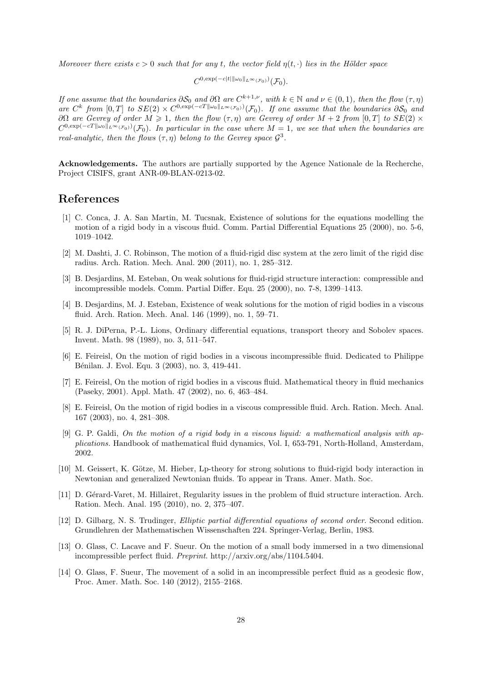Moreover there exists  $c > 0$  such that for any t, the vector field  $\eta(t, \cdot)$  lies in the Hölder space

 $C^{0, \exp(-c|t| \|\omega_0\|_{L^\infty(\mathcal{F}_0)})}(\mathcal{F}_0).$ 

If one assume that the boundaries  $\partial \mathcal{S}_0$  and  $\partial \Omega$  are  $C^{k+1,\nu}$ , with  $k \in \mathbb{N}$  and  $\nu \in (0,1)$ , then the flow  $(\tau, \eta)$ are  $C^k$  from  $[0,T]$  to  $SE(2) \times C^{0,exp(-cT||\omega_0||_{L^{\infty}(\mathcal{F}_0)})}(\mathcal{F}_0)$ . If one assume that the boundaries  $\partial \mathcal{S}_0$  and  $∂Ω$  are Gevrey of order  $M ≥ 1$ , then the flow  $(τ, η)$  are Gevrey of order  $M + 2$  from  $[0, T]$  to  $SE(2) ×$  $C^{0,\exp(-cT\|\omega_0\|_{L^\infty(\mathcal{F}_0)})}(\mathcal{F}_0)$ . In particular in the case where  $M=1$ , we see that when the boundaries are real-analytic, then the flows  $(\tau, \eta)$  belong to the Gevrey space  $\mathcal{G}^3$ .

Acknowledgements. The authors are partially supported by the Agence Nationale de la Recherche, Project CISIFS, grant ANR-09-BLAN-0213-02.

## References

- [1] C. Conca, J. A. San Martin, M. Tucsnak, Existence of solutions for the equations modelling the motion of a rigid body in a viscous fluid. Comm. Partial Differential Equations 25 (2000), no. 5-6, 1019–1042.
- [2] M. Dashti, J. C. Robinson, The motion of a fluid-rigid disc system at the zero limit of the rigid disc radius. Arch. Ration. Mech. Anal. 200 (2011), no. 1, 285–312.
- [3] B. Desjardins, M. Esteban, On weak solutions for fluid-rigid structure interaction: compressible and incompressible models. Comm. Partial Differ. Equ. 25 (2000), no. 7-8, 1399–1413.
- [4] B. Desjardins, M. J. Esteban, Existence of weak solutions for the motion of rigid bodies in a viscous fluid. Arch. Ration. Mech. Anal. 146 (1999), no. 1, 59–71.
- [5] R. J. DiPerna, P.-L. Lions, Ordinary differential equations, transport theory and Sobolev spaces. Invent. Math. 98 (1989), no. 3, 511–547.
- [6] E. Feireisl, On the motion of rigid bodies in a viscous incompressible fluid. Dedicated to Philippe Bénilan. J. Evol. Equ. 3 (2003), no. 3, 419-441.
- [7] E. Feireisl, On the motion of rigid bodies in a viscous fluid. Mathematical theory in fluid mechanics (Paseky, 2001). Appl. Math. 47 (2002), no. 6, 463–484.
- [8] E. Feireisl, On the motion of rigid bodies in a viscous compressible fluid. Arch. Ration. Mech. Anal. 167 (2003), no. 4, 281–308.
- $[9]$  G, P. Galdi, On the motion of a rigid body in a viscous liquid: a mathematical analysis with applications. Handbook of mathematical fluid dynamics, Vol. I, 653-791, North-Holland, Amsterdam, 2002.
- [10] M. Geissert, K. Götze, M. Hieber, Lp-theory for strong solutions to fluid-rigid body interaction in Newtonian and generalized Newtonian fluids. To appear in Trans. Amer. Math. Soc.
- [11] D. Gérard-Varet, M. Hillairet, Regularity issues in the problem of fluid structure interaction. Arch. Ration. Mech. Anal. 195 (2010), no. 2, 375–407.
- [12] D. Gilbarg, N. S. Trudinger, Elliptic partial differential equations of second order. Second edition. Grundlehren der Mathematischen Wissenschaften 224. Springer-Verlag, Berlin, 1983.
- [13] O. Glass, C. Lacave and F. Sueur. On the motion of a small body immersed in a two dimensional incompressible perfect fluid. Preprint. http://arxiv.org/abs/1104.5404.
- [14] O. Glass, F. Sueur, The movement of a solid in an incompressible perfect fluid as a geodesic flow, Proc. Amer. Math. Soc. 140 (2012), 2155–2168.